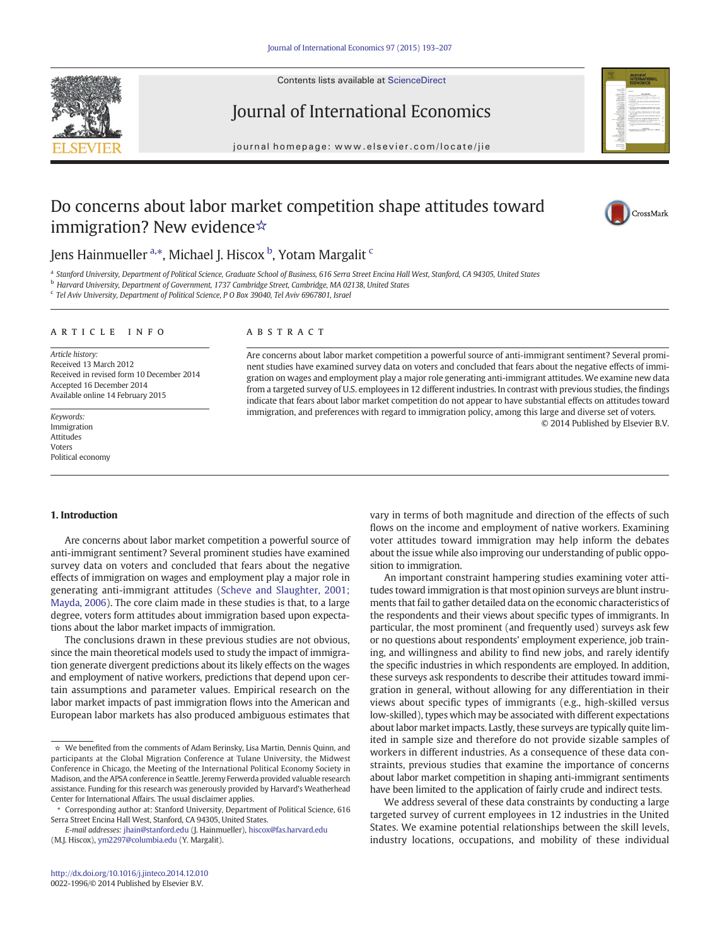Contents lists available at ScienceDirect





# Journal of International Economics

journal homepage: www.elsevier.com/locate/jie

# Do concerns about labor market competition shape attitudes toward immigration? New evidence☆



## Jens Hainmueller <sup>a,</sup>\*, Michael J. Hiscox <sup>b</sup>, Yotam Margalit <sup>c</sup>

a Stanford University, Department of Political Science, Graduate School of Business, 616 Serra Street Encina Hall West, Stanford, CA 94305, United States

<sup>b</sup> Harvard University, Department of Government, 1737 Cambridge Street, Cambridge, MA 02138, United States

<sup>c</sup> Tel Aviv University, Department of Political Science, P O Box 39040, Tel Aviv 6967801, Israel

#### article info abstract

Article history: Received 13 March 2012 Received in revised form 10 December 2014 Accepted 16 December 2014 Available online 14 February 2015

Keywords: Immigration Attitudes Voters Political economy

Are concerns about labor market competition a powerful source of anti-immigrant sentiment? Several prominent studies have examined survey data on voters and concluded that fears about the negative effects of immigration on wages and employment play a major role generating anti-immigrant attitudes. We examine new data from a targeted survey of U.S. employees in 12 different industries. In contrast with previous studies, the findings indicate that fears about labor market competition do not appear to have substantial effects on attitudes toward immigration, and preferences with regard to immigration policy, among this large and diverse set of voters. © 2014 Published by Elsevier B.V.

### 1. Introduction

Are concerns about labor market competition a powerful source of anti-immigrant sentiment? Several prominent studies have examined survey data on voters and concluded that fears about the negative effects of immigration on wages and employment play a major role in generating anti-immigrant attitudes [\(Scheve and Slaughter, 2001;](#page-14-0) [Mayda, 2006](#page-14-0)). The core claim made in these studies is that, to a large degree, voters form attitudes about immigration based upon expectations about the labor market impacts of immigration.

The conclusions drawn in these previous studies are not obvious, since the main theoretical models used to study the impact of immigration generate divergent predictions about its likely effects on the wages and employment of native workers, predictions that depend upon certain assumptions and parameter values. Empirical research on the labor market impacts of past immigration flows into the American and European labor markets has also produced ambiguous estimates that vary in terms of both magnitude and direction of the effects of such flows on the income and employment of native workers. Examining voter attitudes toward immigration may help inform the debates about the issue while also improving our understanding of public opposition to immigration.

An important constraint hampering studies examining voter attitudes toward immigration is that most opinion surveys are blunt instruments that fail to gather detailed data on the economic characteristics of the respondents and their views about specific types of immigrants. In particular, the most prominent (and frequently used) surveys ask few or no questions about respondents' employment experience, job training, and willingness and ability to find new jobs, and rarely identify the specific industries in which respondents are employed. In addition, these surveys ask respondents to describe their attitudes toward immigration in general, without allowing for any differentiation in their views about specific types of immigrants (e.g., high-skilled versus low-skilled), types which may be associated with different expectations about labor market impacts. Lastly, these surveys are typically quite limited in sample size and therefore do not provide sizable samples of workers in different industries. As a consequence of these data constraints, previous studies that examine the importance of concerns about labor market competition in shaping anti-immigrant sentiments have been limited to the application of fairly crude and indirect tests.

We address several of these data constraints by conducting a large targeted survey of current employees in 12 industries in the United States. We examine potential relationships between the skill levels, industry locations, occupations, and mobility of these individual

<sup>☆</sup> We benefited from the comments of Adam Berinsky, Lisa Martin, Dennis Quinn, and participants at the Global Migration Conference at Tulane University, the Midwest Conference in Chicago, the Meeting of the International Political Economy Society in Madison, and the APSA conference in Seattle. Jeremy Ferwerda provided valuable research assistance. Funding for this research was generously provided by Harvard's Weatherhead Center for International Affairs. The usual disclaimer applies.

<sup>⁎</sup> Corresponding author at: Stanford University, Department of Political Science, 616 Serra Street Encina Hall West, Stanford, CA 94305, United States.

E-mail addresses: [jhain@stanford.edu](mailto:jhain@stanford.edu) (J. Hainmueller), [hiscox@fas.harvard.edu](mailto:hiscox@fas.harvard.edu) (M.J. Hiscox), [ym2297@columbia.edu](mailto:ym2297@columbia.edu) (Y. Margalit).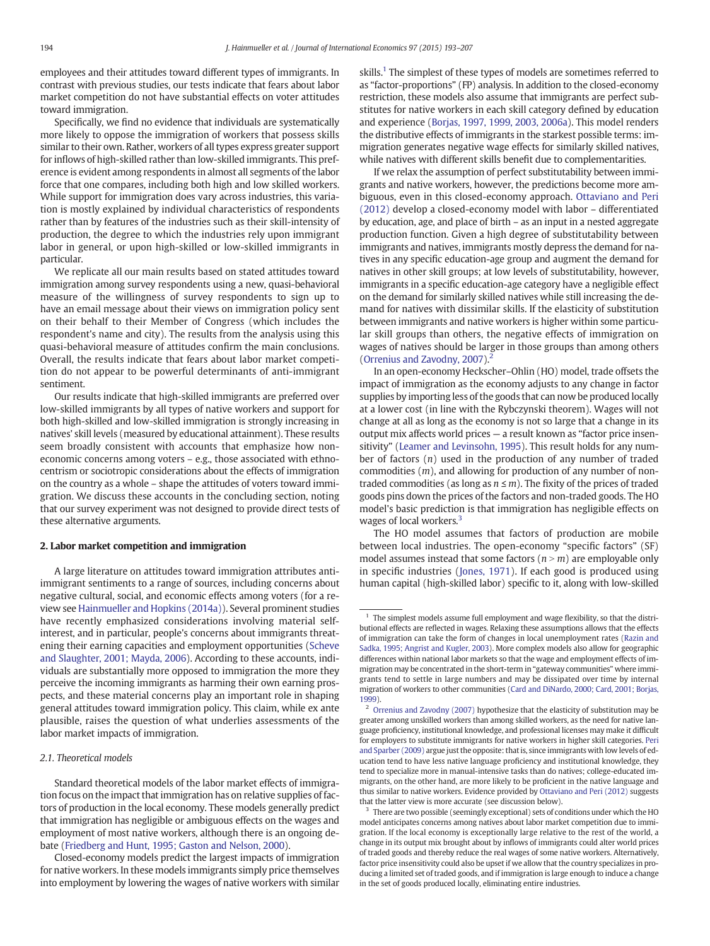employees and their attitudes toward different types of immigrants. In contrast with previous studies, our tests indicate that fears about labor market competition do not have substantial effects on voter attitudes toward immigration.

Specifically, we find no evidence that individuals are systematically more likely to oppose the immigration of workers that possess skills similar to their own. Rather, workers of all types express greater support for inflows of high-skilled rather than low-skilled immigrants. This preference is evident among respondents in almost all segments of the labor force that one compares, including both high and low skilled workers. While support for immigration does vary across industries, this variation is mostly explained by individual characteristics of respondents rather than by features of the industries such as their skill-intensity of production, the degree to which the industries rely upon immigrant labor in general, or upon high-skilled or low-skilled immigrants in particular.

We replicate all our main results based on stated attitudes toward immigration among survey respondents using a new, quasi-behavioral measure of the willingness of survey respondents to sign up to have an email message about their views on immigration policy sent on their behalf to their Member of Congress (which includes the respondent's name and city). The results from the analysis using this quasi-behavioral measure of attitudes confirm the main conclusions. Overall, the results indicate that fears about labor market competition do not appear to be powerful determinants of anti-immigrant sentiment.

Our results indicate that high-skilled immigrants are preferred over low-skilled immigrants by all types of native workers and support for both high-skilled and low-skilled immigration is strongly increasing in natives' skill levels (measured by educational attainment). These results seem broadly consistent with accounts that emphasize how noneconomic concerns among voters – e.g., those associated with ethnocentrism or sociotropic considerations about the effects of immigration on the country as a whole – shape the attitudes of voters toward immigration. We discuss these accounts in the concluding section, noting that our survey experiment was not designed to provide direct tests of these alternative arguments.

#### 2. Labor market competition and immigration

A large literature on attitudes toward immigration attributes antiimmigrant sentiments to a range of sources, including concerns about negative cultural, social, and economic effects among voters (for a review see [Hainmueller and Hopkins \(2014a\)](#page-14-0)). Several prominent studies have recently emphasized considerations involving material selfinterest, and in particular, people's concerns about immigrants threatening their earning capacities and employment opportunities ([Scheve](#page-14-0) [and Slaughter, 2001; Mayda, 2006](#page-14-0)). According to these accounts, individuals are substantially more opposed to immigration the more they perceive the incoming immigrants as harming their own earning prospects, and these material concerns play an important role in shaping general attitudes toward immigration policy. This claim, while ex ante plausible, raises the question of what underlies assessments of the labor market impacts of immigration.

#### 2.1. Theoretical models

Standard theoretical models of the labor market effects of immigration focus on the impact that immigration has on relative supplies of factors of production in the local economy. These models generally predict that immigration has negligible or ambiguous effects on the wages and employment of most native workers, although there is an ongoing debate ([Friedberg and Hunt, 1995; Gaston and Nelson, 2000\)](#page-14-0).

Closed-economy models predict the largest impacts of immigration for native workers. In these models immigrants simply price themselves into employment by lowering the wages of native workers with similar skills.<sup>1</sup> The simplest of these types of models are sometimes referred to as "factor-proportions" (FP) analysis. In addition to the closed-economy restriction, these models also assume that immigrants are perfect substitutes for native workers in each skill category defined by education and experience [\(Borjas, 1997, 1999, 2003, 2006a](#page-14-0)). This model renders the distributive effects of immigrants in the starkest possible terms: immigration generates negative wage effects for similarly skilled natives, while natives with different skills benefit due to complementarities.

If we relax the assumption of perfect substitutability between immigrants and native workers, however, the predictions become more ambiguous, even in this closed-economy approach. [Ottaviano and Peri](#page-14-0) [\(2012\)](#page-14-0) develop a closed-economy model with labor – differentiated by education, age, and place of birth – as an input in a nested aggregate production function. Given a high degree of substitutability between immigrants and natives, immigrants mostly depress the demand for natives in any specific education-age group and augment the demand for natives in other skill groups; at low levels of substitutability, however, immigrants in a specific education-age category have a negligible effect on the demand for similarly skilled natives while still increasing the demand for natives with dissimilar skills. If the elasticity of substitution between immigrants and native workers is higher within some particular skill groups than others, the negative effects of immigration on wages of natives should be larger in those groups than among others [\(Orrenius and Zavodny, 2007\)](#page-14-0).

In an open-economy Heckscher–Ohlin (HO) model, trade offsets the impact of immigration as the economy adjusts to any change in factor supplies by importing less of the goods that can now be produced locally at a lower cost (in line with the Rybczynski theorem). Wages will not change at all as long as the economy is not so large that a change in its output mix affects world prices — a result known as "factor price insensitivity" [\(Leamer and Levinsohn, 1995](#page-14-0)). This result holds for any number of factors  $(n)$  used in the production of any number of traded commodities (m), and allowing for production of any number of nontraded commodities (as long as  $n \leq m$ ). The fixity of the prices of traded goods pins down the prices of the factors and non-traded goods. The HO model's basic prediction is that immigration has negligible effects on wages of local workers  $3$ 

The HO model assumes that factors of production are mobile between local industries. The open-economy "specific factors" (SF) model assumes instead that some factors ( $n > m$ ) are employable only in specific industries ([Jones, 1971](#page-14-0)). If each good is produced using human capital (high-skilled labor) specific to it, along with low-skilled

 $^{\rm 1}$  The simplest models assume full employment and wage flexibility, so that the distributional effects are reflected in wages. Relaxing these assumptions allows that the effects of immigration can take the form of changes in local unemployment rates ([Razin and](#page-14-0) [Sadka, 1995; Angrist and Kugler, 2003](#page-14-0)). More complex models also allow for geographic differences within national labor markets so that the wage and employment effects of immigration may be concentrated in the short-term in "gateway communities" where immigrants tend to settle in large numbers and may be dissipated over time by internal migration of workers to other communities ([Card and DiNardo, 2000; Card, 2001; Borjas,](#page-14-0) [1999\)](#page-14-0).

<sup>&</sup>lt;sup>2</sup> [Orrenius and Zavodny \(2007\)](#page-14-0) hypothesize that the elasticity of substitution may be greater among unskilled workers than among skilled workers, as the need for native language proficiency, institutional knowledge, and professional licenses may make it difficult for employers to substitute immigrants for native workers in higher skill categories. [Peri](#page-14-0) [and Sparber \(2009\)](#page-14-0) argue just the opposite: that is, since immigrants with low levels of education tend to have less native language proficiency and institutional knowledge, they tend to specialize more in manual-intensive tasks than do natives; college-educated immigrants, on the other hand, are more likely to be proficient in the native language and thus similar to native workers. Evidence provided by [Ottaviano and Peri \(2012\)](#page-14-0) suggests that the latter view is more accurate (see discussion below).

<sup>&</sup>lt;sup>3</sup> There are two possible (seemingly exceptional) sets of conditions under which the HO model anticipates concerns among natives about labor market competition due to immigration. If the local economy is exceptionally large relative to the rest of the world, a change in its output mix brought about by inflows of immigrants could alter world prices of traded goods and thereby reduce the real wages of some native workers. Alternatively, factor price insensitivity could also be upset if we allow that the country specializes in producing a limited set of traded goods, and if immigration is large enough to induce a change in the set of goods produced locally, eliminating entire industries.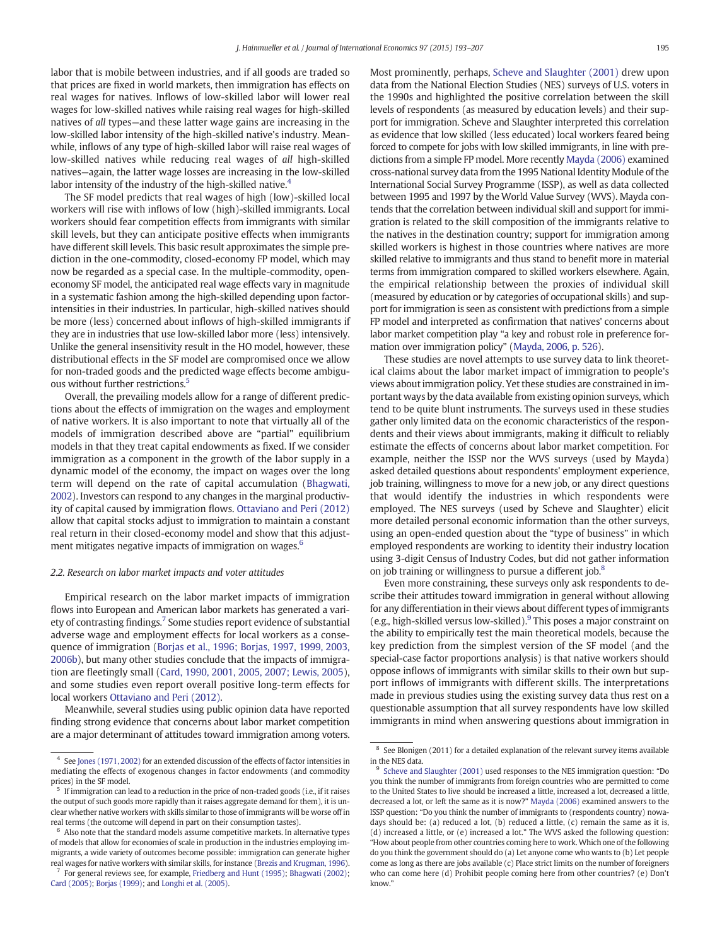labor that is mobile between industries, and if all goods are traded so that prices are fixed in world markets, then immigration has effects on real wages for natives. Inflows of low-skilled labor will lower real wages for low-skilled natives while raising real wages for high-skilled natives of all types—and these latter wage gains are increasing in the low-skilled labor intensity of the high-skilled native's industry. Meanwhile, inflows of any type of high-skilled labor will raise real wages of low-skilled natives while reducing real wages of all high-skilled natives—again, the latter wage losses are increasing in the low-skilled labor intensity of the industry of the high-skilled native.<sup>4</sup>

The SF model predicts that real wages of high (low)-skilled local workers will rise with inflows of low (high)-skilled immigrants. Local workers should fear competition effects from immigrants with similar skill levels, but they can anticipate positive effects when immigrants have different skill levels. This basic result approximates the simple prediction in the one-commodity, closed-economy FP model, which may now be regarded as a special case. In the multiple-commodity, openeconomy SF model, the anticipated real wage effects vary in magnitude in a systematic fashion among the high-skilled depending upon factorintensities in their industries. In particular, high-skilled natives should be more (less) concerned about inflows of high-skilled immigrants if they are in industries that use low-skilled labor more (less) intensively. Unlike the general insensitivity result in the HO model, however, these distributional effects in the SF model are compromised once we allow for non-traded goods and the predicted wage effects become ambiguous without further restrictions.<sup>5</sup>

Overall, the prevailing models allow for a range of different predictions about the effects of immigration on the wages and employment of native workers. It is also important to note that virtually all of the models of immigration described above are "partial" equilibrium models in that they treat capital endowments as fixed. If we consider immigration as a component in the growth of the labor supply in a dynamic model of the economy, the impact on wages over the long term will depend on the rate of capital accumulation [\(Bhagwati,](#page-14-0) [2002](#page-14-0)). Investors can respond to any changes in the marginal productivity of capital caused by immigration flows. [Ottaviano and Peri \(2012\)](#page-14-0) allow that capital stocks adjust to immigration to maintain a constant real return in their closed-economy model and show that this adjustment mitigates negative impacts of immigration on wages.<sup>6</sup>

#### 2.2. Research on labor market impacts and voter attitudes

Empirical research on the labor market impacts of immigration flows into European and American labor markets has generated a variety of contrasting findings.<sup>7</sup> Some studies report evidence of substantial adverse wage and employment effects for local workers as a consequence of immigration ([Borjas et al., 1996; Borjas, 1997, 1999, 2003,](#page-14-0) [2006b\)](#page-14-0), but many other studies conclude that the impacts of immigration are fleetingly small ([Card, 1990, 2001, 2005, 2007; Lewis, 2005](#page-14-0)), and some studies even report overall positive long-term effects for local workers [Ottaviano and Peri \(2012\).](#page-14-0)

Meanwhile, several studies using public opinion data have reported finding strong evidence that concerns about labor market competition are a major determinant of attitudes toward immigration among voters.

[Card \(2005\);](#page-14-0) [Borjas \(1999\);](#page-14-0) and [Longhi et al. \(2005\)](#page-14-0).

Most prominently, perhaps, [Scheve and Slaughter \(2001\)](#page-14-0) drew upon data from the National Election Studies (NES) surveys of U.S. voters in the 1990s and highlighted the positive correlation between the skill levels of respondents (as measured by education levels) and their support for immigration. Scheve and Slaughter interpreted this correlation as evidence that low skilled (less educated) local workers feared being forced to compete for jobs with low skilled immigrants, in line with predictions from a simple FP model. More recently [Mayda \(2006\)](#page-14-0) examined cross-national survey data from the 1995 National Identity Module of the International Social Survey Programme (ISSP), as well as data collected between 1995 and 1997 by the World Value Survey (WVS). Mayda contends that the correlation between individual skill and support for immigration is related to the skill composition of the immigrants relative to the natives in the destination country; support for immigration among skilled workers is highest in those countries where natives are more skilled relative to immigrants and thus stand to benefit more in material terms from immigration compared to skilled workers elsewhere. Again, the empirical relationship between the proxies of individual skill (measured by education or by categories of occupational skills) and support for immigration is seen as consistent with predictions from a simple FP model and interpreted as confirmation that natives' concerns about labor market competition play "a key and robust role in preference formation over immigration policy" ([Mayda, 2006, p. 526](#page-14-0)).

These studies are novel attempts to use survey data to link theoretical claims about the labor market impact of immigration to people's views about immigration policy. Yet these studies are constrained in important ways by the data available from existing opinion surveys, which tend to be quite blunt instruments. The surveys used in these studies gather only limited data on the economic characteristics of the respondents and their views about immigrants, making it difficult to reliably estimate the effects of concerns about labor market competition. For example, neither the ISSP nor the WVS surveys (used by Mayda) asked detailed questions about respondents' employment experience, job training, willingness to move for a new job, or any direct questions that would identify the industries in which respondents were employed. The NES surveys (used by Scheve and Slaughter) elicit more detailed personal economic information than the other surveys, using an open-ended question about the "type of business" in which employed respondents are working to identity their industry location using 3-digit Census of Industry Codes, but did not gather information on job training or willingness to pursue a different job.<sup>8</sup>

Even more constraining, these surveys only ask respondents to describe their attitudes toward immigration in general without allowing for any differentiation in their views about different types of immigrants (e.g., high-skilled versus low-skilled).<sup>9</sup> This poses a major constraint on the ability to empirically test the main theoretical models, because the key prediction from the simplest version of the SF model (and the special-case factor proportions analysis) is that native workers should oppose inflows of immigrants with similar skills to their own but support inflows of immigrants with different skills. The interpretations made in previous studies using the existing survey data thus rest on a questionable assumption that all survey respondents have low skilled immigrants in mind when answering questions about immigration in

<sup>4</sup> See [Jones \(1971, 2002\)](#page-14-0) for an extended discussion of the effects of factor intensities in mediating the effects of exogenous changes in factor endowments (and commodity prices) in the SF model.

<sup>&</sup>lt;sup>5</sup> If immigration can lead to a reduction in the price of non-traded goods (i.e., if it raises the output of such goods more rapidly than it raises aggregate demand for them), it is unclear whether native workers with skills similar to those of immigrants will be worse off in real terms (the outcome will depend in part on their consumption tastes).

Also note that the standard models assume competitive markets. In alternative types of models that allow for economies of scale in production in the industries employing immigrants, a wide variety of outcomes become possible: immigration can generate higher real wages for native workers with similar skills, for instance ([Brezis and Krugman, 1996](#page-14-0)).  $7$  For general reviews see, for example, [Friedberg and Hunt \(1995\)](#page-14-0); [Bhagwati \(2002\)](#page-14-0);

 $8$  See Blonigen (2011) for a detailed explanation of the relevant survey items available in the NES data.

<sup>9</sup> [Scheve and Slaughter \(2001\)](#page-14-0) used responses to the NES immigration question: "Do you think the number of immigrants from foreign countries who are permitted to come to the United States to live should be increased a little, increased a lot, decreased a little, decreased a lot, or left the same as it is now?" [Mayda \(2006\)](#page-14-0) examined answers to the ISSP question: "Do you think the number of immigrants to (respondents country) nowadays should be: (a) reduced a lot, (b) reduced a little, (c) remain the same as it is, (d) increased a little, or (e) increased a lot." The WVS asked the following question: "How about people from other countries coming here to work. Which one of the following do you think the government should do (a) Let anyone come who wants to (b) Let people come as long as there are jobs available (c) Place strict limits on the number of foreigners who can come here (d) Prohibit people coming here from other countries? (e) Don't know<sup>"</sup>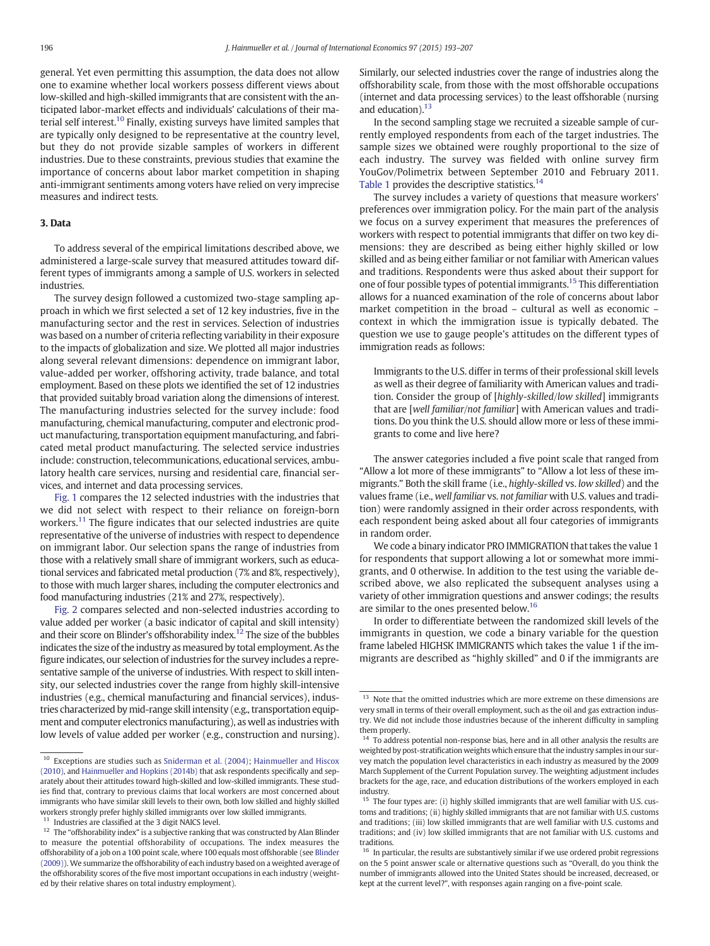general. Yet even permitting this assumption, the data does not allow one to examine whether local workers possess different views about low-skilled and high-skilled immigrants that are consistent with the anticipated labor-market effects and individuals' calculations of their material self interest.<sup>10</sup> Finally, existing surveys have limited samples that are typically only designed to be representative at the country level, but they do not provide sizable samples of workers in different industries. Due to these constraints, previous studies that examine the importance of concerns about labor market competition in shaping anti-immigrant sentiments among voters have relied on very imprecise measures and indirect tests.

#### 3. Data

To address several of the empirical limitations described above, we administered a large-scale survey that measured attitudes toward different types of immigrants among a sample of U.S. workers in selected industries.

The survey design followed a customized two-stage sampling approach in which we first selected a set of 12 key industries, five in the manufacturing sector and the rest in services. Selection of industries was based on a number of criteria reflecting variability in their exposure to the impacts of globalization and size. We plotted all major industries along several relevant dimensions: dependence on immigrant labor, value-added per worker, offshoring activity, trade balance, and total employment. Based on these plots we identified the set of 12 industries that provided suitably broad variation along the dimensions of interest. The manufacturing industries selected for the survey include: food manufacturing, chemical manufacturing, computer and electronic product manufacturing, transportation equipment manufacturing, and fabricated metal product manufacturing. The selected service industries include: construction, telecommunications, educational services, ambulatory health care services, nursing and residential care, financial services, and internet and data processing services.

[Fig. 1](#page-4-0) compares the 12 selected industries with the industries that we did not select with respect to their reliance on foreign-born workers.<sup>11</sup> The figure indicates that our selected industries are quite representative of the universe of industries with respect to dependence on immigrant labor. Our selection spans the range of industries from those with a relatively small share of immigrant workers, such as educational services and fabricated metal production (7% and 8%, respectively), to those with much larger shares, including the computer electronics and food manufacturing industries (21% and 27%, respectively).

[Fig. 2](#page-4-0) compares selected and non-selected industries according to value added per worker (a basic indicator of capital and skill intensity) and their score on Blinder's offshorability index.<sup>12</sup> The size of the bubbles indicates the size of the industry as measured by total employment. As the figure indicates, our selection of industries for the survey includes a representative sample of the universe of industries. With respect to skill intensity, our selected industries cover the range from highly skill-intensive industries (e.g., chemical manufacturing and financial services), industries characterized by mid-range skill intensity (e.g., transportation equipment and computer electronics manufacturing), as well as industries with low levels of value added per worker (e.g., construction and nursing). Similarly, our selected industries cover the range of industries along the offshorability scale, from those with the most offshorable occupations (internet and data processing services) to the least offshorable (nursing and education).<sup>13</sup>

In the second sampling stage we recruited a sizeable sample of currently employed respondents from each of the target industries. The sample sizes we obtained were roughly proportional to the size of each industry. The survey was fielded with online survey firm YouGov/Polimetrix between September 2010 and February 2011. [Table 1](#page-5-0) provides the descriptive statistics.<sup>14</sup>

The survey includes a variety of questions that measure workers' preferences over immigration policy. For the main part of the analysis we focus on a survey experiment that measures the preferences of workers with respect to potential immigrants that differ on two key dimensions: they are described as being either highly skilled or low skilled and as being either familiar or not familiar with American values and traditions. Respondents were thus asked about their support for one of four possible types of potential immigrants.15 This differentiation allows for a nuanced examination of the role of concerns about labor market competition in the broad – cultural as well as economic – context in which the immigration issue is typically debated. The question we use to gauge people's attitudes on the different types of immigration reads as follows:

Immigrants to the U.S. differ in terms of their professional skill levels as well as their degree of familiarity with American values and tradition. Consider the group of [highly-skilled/low skilled] immigrants that are [well familiar/not familiar] with American values and traditions. Do you think the U.S. should allow more or less of these immigrants to come and live here?

The answer categories included a five point scale that ranged from "Allow a lot more of these immigrants" to "Allow a lot less of these immigrants." Both the skill frame (i.e., highly-skilled vs. low skilled) and the values frame (i.e., well familiar vs. not familiar with U.S. values and tradition) were randomly assigned in their order across respondents, with each respondent being asked about all four categories of immigrants in random order.

We code a binary indicator PRO IMMIGRATION that takes the value 1 for respondents that support allowing a lot or somewhat more immigrants, and 0 otherwise. In addition to the test using the variable described above, we also replicated the subsequent analyses using a variety of other immigration questions and answer codings; the results are similar to the ones presented below.<sup>16</sup>

In order to differentiate between the randomized skill levels of the immigrants in question, we code a binary variable for the question frame labeled HIGHSK IMMIGRANTS which takes the value 1 if the immigrants are described as "highly skilled" and 0 if the immigrants are

<sup>&</sup>lt;sup>10</sup> Exceptions are studies such as [Sniderman et al. \(2004\);](#page-14-0) [Hainmueller and Hiscox](#page-14-0) [\(2010\)](#page-14-0), and [Hainmueller and Hopkins \(2014b\)](#page-14-0) that ask respondents specifically and separately about their attitudes toward high-skilled and low-skilled immigrants. These studies find that, contrary to previous claims that local workers are most concerned about immigrants who have similar skill levels to their own, both low skilled and highly skilled workers strongly prefer highly skilled immigrants over low skilled immigrants.

<sup>&</sup>lt;sup>11</sup> Industries are classified at the 3 digit NAICS level.

 $^{12}\,$  The "offshorability index" is a subjective ranking that was constructed by Alan Blinder to measure the potential offshorability of occupations. The index measures the offshorability of a job on a 100 point scale, where 100 equals most offshorable (see [Blinder](#page-14-0) [\(2009\)](#page-14-0)). We summarize the offshorability of each industry based on a weighted average of the offshorability scores of the five most important occupations in each industry (weighted by their relative shares on total industry employment).

 $13$  Note that the omitted industries which are more extreme on these dimensions are very small in terms of their overall employment, such as the oil and gas extraction industry. We did not include those industries because of the inherent difficulty in sampling them properly.

<sup>&</sup>lt;sup>14</sup> To address potential non-response bias, here and in all other analysis the results are weighted by post-stratification weights which ensure that the industry samples in our survey match the population level characteristics in each industry as measured by the 2009 March Supplement of the Current Population survey. The weighting adjustment includes brackets for the age, race, and education distributions of the workers employed in each industry.

<sup>&</sup>lt;sup>15</sup> The four types are: (i) highly skilled immigrants that are well familiar with U.S. customs and traditions; (ii) highly skilled immigrants that are not familiar with U.S. customs and traditions; (iii) low skilled immigrants that are well familiar with U.S. customs and traditions; and (iv) low skilled immigrants that are not familiar with U.S. customs and traditions.

 $^{16}\,$  In particular, the results are substantively similar if we use ordered probit regressions on the 5 point answer scale or alternative questions such as "Overall, do you think the number of immigrants allowed into the United States should be increased, decreased, or kept at the current level?", with responses again ranging on a five-point scale.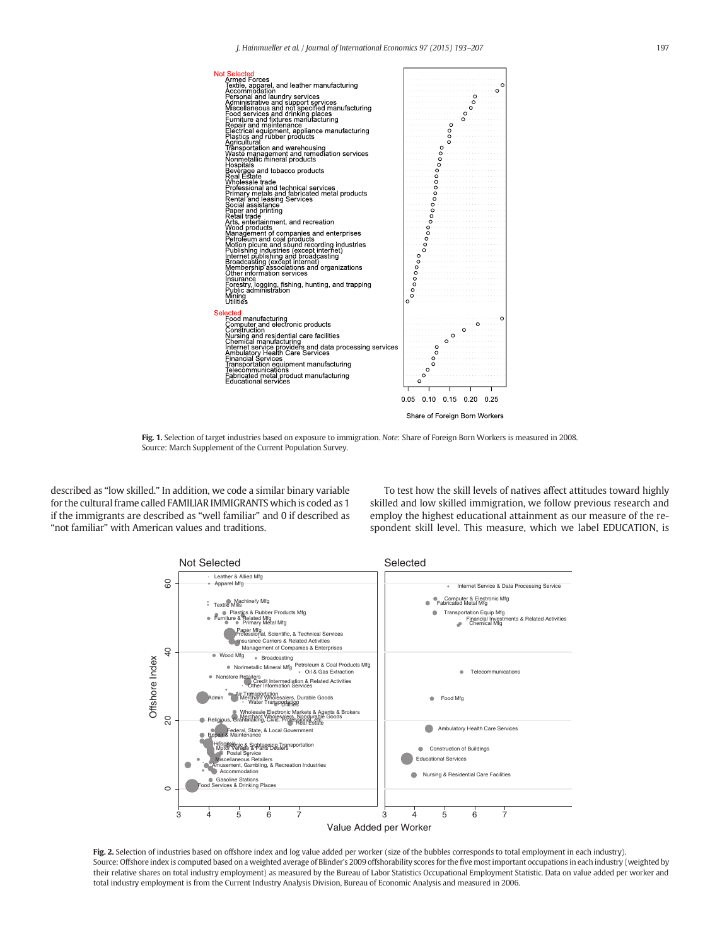<span id="page-4-0"></span>

Fig. 1. Selection of target industries based on exposure to immigration. Note: Share of Foreign Born Workers is measured in 2008. Source: March Supplement of the Current Population Survey.

described as "low skilled." In addition, we code a similar binary variable for the cultural frame called FAMILIAR IMMIGRANTS which is coded as 1 if the immigrants are described as "well familiar" and 0 if described as "not familiar" with American values and traditions.

To test how the skill levels of natives affect attitudes toward highly skilled and low skilled immigration, we follow previous research and employ the highest educational attainment as our measure of the respondent skill level. This measure, which we label EDUCATION, is



Fig. 2. Selection of industries based on offshore index and log value added per worker (size of the bubbles corresponds to total employment in each industry). Source: Offshore index is computed based on a weighted average of Blinder's 2009 offshorability scores for the five most important occupations in each industry (weighted by their relative shares on total industry employment) as measured by the Bureau of Labor Statistics Occupational Employment Statistic. Data on value added per worker and total industry employment is from the Current Industry Analysis Division, Bureau of Economic Analysis and measured in 2006.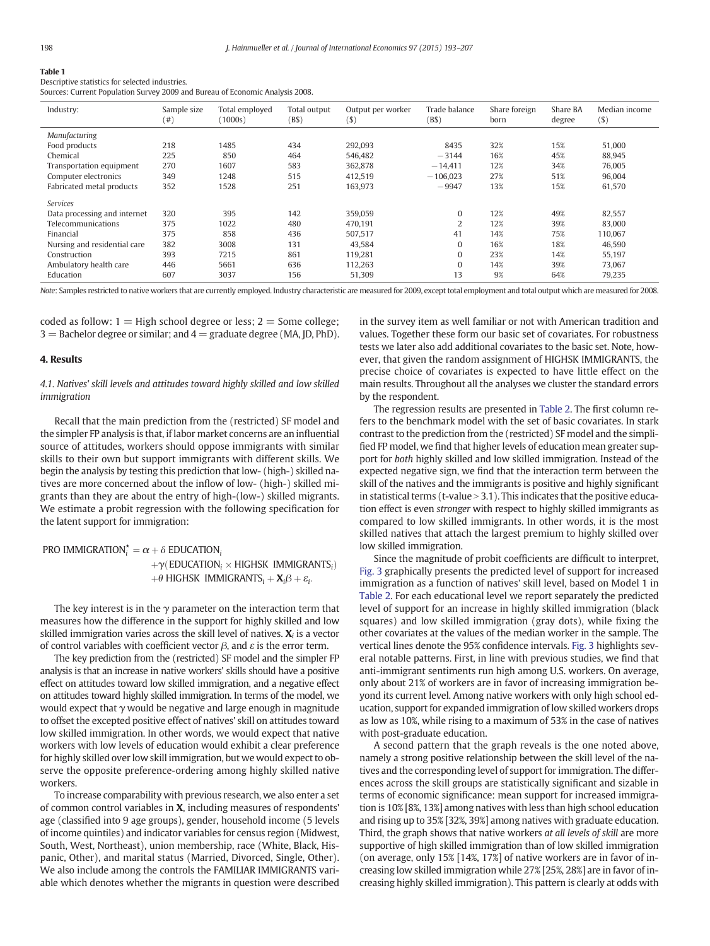#### <span id="page-5-0"></span>Table 1 Descriptive statistics for selected industries.

Sources: Current Population Survey 2009 and Bureau of Economic Analysis 2008.

| Industry:                    | Sample size<br>$($ # $)$ | Total employed<br>(1000s) | Total output<br>(B\$) | Output per worker<br>$($ \$) | Trade balance<br>(B\$) | Share foreign<br>born | Share BA<br>degree | Median income<br>$($ \$ |
|------------------------------|--------------------------|---------------------------|-----------------------|------------------------------|------------------------|-----------------------|--------------------|-------------------------|
| Manufacturing                |                          |                           |                       |                              |                        |                       |                    |                         |
| Food products                | 218                      | 1485                      | 434                   | 292,093                      | 8435                   | 32%                   | 15%                | 51.000                  |
| Chemical                     | 225                      | 850                       | 464                   | 546,482                      | $-3144$                | 16%                   | 45%                | 88,945                  |
| Transportation equipment     | 270                      | 1607                      | 583                   | 362.878                      | $-14,411$              | 12%                   | 34%                | 76.005                  |
| Computer electronics         | 349                      | 1248                      | 515                   | 412,519                      | $-106.023$             | 27%                   | 51%                | 96,004                  |
| Fabricated metal products    | 352                      | 1528                      | 251                   | 163,973                      | $-9947$                | 13%                   | 15%                | 61,570                  |
| <b>Services</b>              |                          |                           |                       |                              |                        |                       |                    |                         |
| Data processing and internet | 320                      | 395                       | 142                   | 359.059                      | $\mathbf{0}$           | 12%                   | 49%                | 82.557                  |
| Telecommunications           | 375                      | 1022                      | 480                   | 470.191                      | 2                      | 12%                   | 39%                | 83,000                  |
| Financial                    | 375                      | 858                       | 436                   | 507.517                      | 41                     | 14%                   | 75%                | 110.067                 |
| Nursing and residential care | 382                      | 3008                      | 131                   | 43,584                       | $\bf{0}$               | 16%                   | 18%                | 46,590                  |
| Construction                 | 393                      | 7215                      | 861                   | 119.281                      | $\Omega$               | 23%                   | 14%                | 55,197                  |
| Ambulatory health care       | 446                      | 5661                      | 636                   | 112,263                      | $\mathbf{0}$           | 14%                   | 39%                | 73,067                  |
| Education                    | 607                      | 3037                      | 156                   | 51,309                       | 13                     | 9%                    | 64%                | 79,235                  |

Note: Samples restricted to native workers that are currently employed. Industry characteristic are measured for 2009, except total employment and total output which are measured for 2008.

coded as follow:  $1 =$  High school degree or less;  $2 =$  Some college;  $3 =$  Bachelor degree or similar; and  $4 =$  graduate degree (MA, JD, PhD).

#### 4. Results

4.1. Natives' skill levels and attitudes toward highly skilled and low skilled immigration

Recall that the main prediction from the (restricted) SF model and the simpler FP analysis is that, if labor market concerns are an influential source of attitudes, workers should oppose immigrants with similar skills to their own but support immigrants with different skills. We begin the analysis by testing this prediction that low- (high-) skilled natives are more concerned about the inflow of low- (high-) skilled migrants than they are about the entry of high-(low-) skilled migrants. We estimate a probit regression with the following specification for the latent support for immigration:

| PRO IMMIGRATION $^{\star}_{i} = \alpha + \delta$ EDUCATION,             |  |
|-------------------------------------------------------------------------|--|
| $+\gamma$ (EDUCATION; $\times$ HIGHSK IMMIGRANTS;)                      |  |
| $+\theta$ HIGHSK IMMIGRANTS <sub>i</sub> + $X_i\beta + \varepsilon_i$ . |  |

The key interest is in the  $\gamma$  parameter on the interaction term that measures how the difference in the support for highly skilled and low skilled immigration varies across the skill level of natives.  $X_i$  is a vector of control variables with coefficient vector  $β$ , and  $ε$  is the error term.

The key prediction from the (restricted) SF model and the simpler FP analysis is that an increase in native workers' skills should have a positive effect on attitudes toward low skilled immigration, and a negative effect on attitudes toward highly skilled immigration. In terms of the model, we would expect that  $\gamma$  would be negative and large enough in magnitude to offset the excepted positive effect of natives' skill on attitudes toward low skilled immigration. In other words, we would expect that native workers with low levels of education would exhibit a clear preference for highly skilled over low skill immigration, but we would expect to observe the opposite preference-ordering among highly skilled native workers.

To increase comparability with previous research, we also enter a set of common control variables in X, including measures of respondents' age (classified into 9 age groups), gender, household income (5 levels of income quintiles) and indicator variables for census region (Midwest, South, West, Northeast), union membership, race (White, Black, Hispanic, Other), and marital status (Married, Divorced, Single, Other). We also include among the controls the FAMILIAR IMMIGRANTS variable which denotes whether the migrants in question were described in the survey item as well familiar or not with American tradition and values. Together these form our basic set of covariates. For robustness tests we later also add additional covariates to the basic set. Note, however, that given the random assignment of HIGHSK IMMIGRANTS, the precise choice of covariates is expected to have little effect on the main results. Throughout all the analyses we cluster the standard errors by the respondent.

The regression results are presented in [Table 2](#page-6-0). The first column refers to the benchmark model with the set of basic covariates. In stark contrast to the prediction from the (restricted) SF model and the simplified FP model, we find that higher levels of education mean greater support for both highly skilled and low skilled immigration. Instead of the expected negative sign, we find that the interaction term between the skill of the natives and the immigrants is positive and highly significant in statistical terms (t-value  $>$  3.1). This indicates that the positive education effect is even stronger with respect to highly skilled immigrants as compared to low skilled immigrants. In other words, it is the most skilled natives that attach the largest premium to highly skilled over low skilled immigration.

Since the magnitude of probit coefficients are difficult to interpret, [Fig. 3](#page-7-0) graphically presents the predicted level of support for increased immigration as a function of natives' skill level, based on Model 1 in [Table 2.](#page-6-0) For each educational level we report separately the predicted level of support for an increase in highly skilled immigration (black squares) and low skilled immigration (gray dots), while fixing the other covariates at the values of the median worker in the sample. The vertical lines denote the 95% confidence intervals. [Fig. 3](#page-7-0) highlights several notable patterns. First, in line with previous studies, we find that anti-immigrant sentiments run high among U.S. workers. On average, only about 21% of workers are in favor of increasing immigration beyond its current level. Among native workers with only high school education, support for expanded immigration of low skilled workers drops as low as 10%, while rising to a maximum of 53% in the case of natives with post-graduate education.

A second pattern that the graph reveals is the one noted above, namely a strong positive relationship between the skill level of the natives and the corresponding level of support for immigration. The differences across the skill groups are statistically significant and sizable in terms of economic significance: mean support for increased immigration is 10% [8%, 13%] among natives with less than high school education and rising up to 35% [32%, 39%] among natives with graduate education. Third, the graph shows that native workers at all levels of skill are more supportive of high skilled immigration than of low skilled immigration (on average, only 15% [14%, 17%] of native workers are in favor of increasing low skilled immigration while 27% [25%, 28%] are in favor of increasing highly skilled immigration). This pattern is clearly at odds with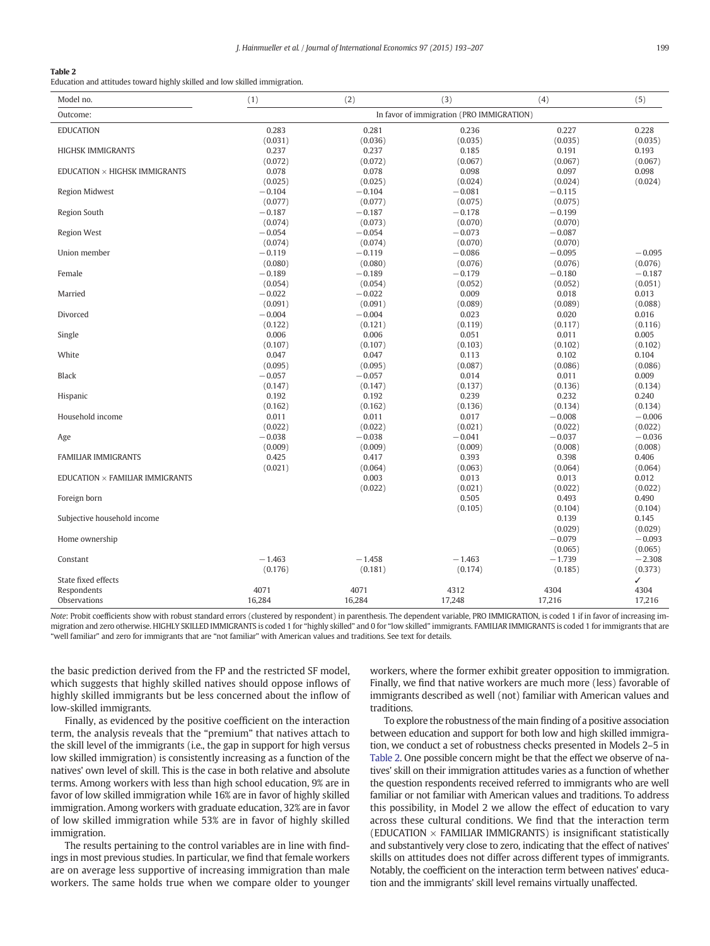#### <span id="page-6-0"></span>Table 2

Education and attitudes toward highly skilled and low skilled immigration.

| In favor of immigration (PRO IMMIGRATION)<br>Outcome:<br>0.283<br>0.227<br><b>EDUCATION</b><br>0.281<br>0.236<br>0.228<br>(0.031)<br>(0.036)<br>(0.035)<br>(0.035)<br>(0.035)<br>0.237<br>0.237<br>0.185<br>0.193<br><b>HIGHSK IMMIGRANTS</b><br>0.191<br>(0.072)<br>(0.072)<br>(0.067)<br>(0.067)<br>(0.067)<br>0.098<br>0.078<br>0.078<br>0.098<br>0.097<br>EDUCATION $\times$ HIGHSK IMMIGRANTS<br>(0.025)<br>(0.024)<br>(0.025)<br>(0.024)<br>(0.024)<br>$-0.104$<br>$-0.104$<br>$-0.081$<br>$-0.115$<br><b>Region Midwest</b><br>(0.077)<br>(0.077)<br>(0.075)<br>(0.075) |
|--------------------------------------------------------------------------------------------------------------------------------------------------------------------------------------------------------------------------------------------------------------------------------------------------------------------------------------------------------------------------------------------------------------------------------------------------------------------------------------------------------------------------------------------------------------------------------|
|                                                                                                                                                                                                                                                                                                                                                                                                                                                                                                                                                                                |
|                                                                                                                                                                                                                                                                                                                                                                                                                                                                                                                                                                                |
|                                                                                                                                                                                                                                                                                                                                                                                                                                                                                                                                                                                |
|                                                                                                                                                                                                                                                                                                                                                                                                                                                                                                                                                                                |
|                                                                                                                                                                                                                                                                                                                                                                                                                                                                                                                                                                                |
|                                                                                                                                                                                                                                                                                                                                                                                                                                                                                                                                                                                |
|                                                                                                                                                                                                                                                                                                                                                                                                                                                                                                                                                                                |
|                                                                                                                                                                                                                                                                                                                                                                                                                                                                                                                                                                                |
|                                                                                                                                                                                                                                                                                                                                                                                                                                                                                                                                                                                |
| $-0.199$<br>Region South<br>$-0.187$<br>$-0.187$<br>$-0.178$                                                                                                                                                                                                                                                                                                                                                                                                                                                                                                                   |
| (0.074)<br>(0.073)<br>(0.070)<br>(0.070)                                                                                                                                                                                                                                                                                                                                                                                                                                                                                                                                       |
| <b>Region West</b><br>$-0.054$<br>$-0.054$<br>$-0.073$<br>$-0.087$                                                                                                                                                                                                                                                                                                                                                                                                                                                                                                             |
| (0.074)<br>(0.074)<br>(0.070)<br>(0.070)                                                                                                                                                                                                                                                                                                                                                                                                                                                                                                                                       |
| Union member<br>$-0.119$<br>$-0.119$<br>$-0.086$<br>$-0.095$<br>$-0.095$                                                                                                                                                                                                                                                                                                                                                                                                                                                                                                       |
| (0.080)<br>(0.076)<br>(0.076)<br>(0.076)<br>(0.080)                                                                                                                                                                                                                                                                                                                                                                                                                                                                                                                            |
| Female<br>$-0.189$<br>$-0.179$<br>$-0.180$<br>$-0.187$<br>$-0.189$                                                                                                                                                                                                                                                                                                                                                                                                                                                                                                             |
| (0.054)<br>(0.054)<br>(0.052)<br>(0.052)<br>(0.051)                                                                                                                                                                                                                                                                                                                                                                                                                                                                                                                            |
| $-0.022$<br>$-0.022$<br>0.009<br>0.018<br>0.013<br>Married                                                                                                                                                                                                                                                                                                                                                                                                                                                                                                                     |
| (0.091)<br>(0.091)<br>(0.089)<br>(0.089)<br>(0.088)                                                                                                                                                                                                                                                                                                                                                                                                                                                                                                                            |
| Divorced<br>$-0.004$<br>0.023<br>$-0.004$<br>0.020<br>0.016                                                                                                                                                                                                                                                                                                                                                                                                                                                                                                                    |
| (0.122)<br>(0.121)<br>(0.119)<br>(0.117)<br>(0.116)                                                                                                                                                                                                                                                                                                                                                                                                                                                                                                                            |
| 0.006<br>0.006<br>0.051<br>0.011<br>0.005<br>Single                                                                                                                                                                                                                                                                                                                                                                                                                                                                                                                            |
| (0.107)<br>(0.107)<br>(0.103)<br>(0.102)<br>(0.102)                                                                                                                                                                                                                                                                                                                                                                                                                                                                                                                            |
| White<br>0.047<br>0.047<br>0.113<br>0.102<br>0.104                                                                                                                                                                                                                                                                                                                                                                                                                                                                                                                             |
| (0.095)<br>(0.095)<br>(0.087)<br>(0.086)<br>(0.086)                                                                                                                                                                                                                                                                                                                                                                                                                                                                                                                            |
| $-0.057$<br>$-0.057$<br>0.014<br>0.011<br>0.009<br><b>Black</b>                                                                                                                                                                                                                                                                                                                                                                                                                                                                                                                |
| (0.147)<br>(0.147)<br>(0.137)<br>(0.136)<br>(0.134)                                                                                                                                                                                                                                                                                                                                                                                                                                                                                                                            |
| Hispanic<br>0.192<br>0.192<br>0.239<br>0.232<br>0.240                                                                                                                                                                                                                                                                                                                                                                                                                                                                                                                          |
| (0.162)<br>(0.162)<br>(0.136)<br>(0.134)<br>(0.134)                                                                                                                                                                                                                                                                                                                                                                                                                                                                                                                            |
| Household income<br>0.011<br>0.011<br>0.017<br>$-0.008$<br>$-0.006$                                                                                                                                                                                                                                                                                                                                                                                                                                                                                                            |
| (0.022)<br>(0.022)<br>(0.021)<br>(0.022)<br>(0.022)                                                                                                                                                                                                                                                                                                                                                                                                                                                                                                                            |
| $-0.038$<br>$-0.038$<br>$-0.041$<br>$-0.037$<br>$-0.036$<br>Age                                                                                                                                                                                                                                                                                                                                                                                                                                                                                                                |
| (0.009)<br>(0.009)<br>(0.009)<br>(0.008)<br>(0.008)                                                                                                                                                                                                                                                                                                                                                                                                                                                                                                                            |
| 0.425<br>0.417<br>0.393<br>0.398<br>0.406<br><b>FAMILIAR IMMIGRANTS</b>                                                                                                                                                                                                                                                                                                                                                                                                                                                                                                        |
| (0.021)<br>(0.064)<br>(0.063)<br>(0.064)<br>(0.064)                                                                                                                                                                                                                                                                                                                                                                                                                                                                                                                            |
| 0.003<br>0.013<br>EDUCATION × FAMILIAR IMMIGRANTS<br>0.013<br>0.012                                                                                                                                                                                                                                                                                                                                                                                                                                                                                                            |
| (0.022)<br>(0.021)<br>(0.022)<br>(0.022)                                                                                                                                                                                                                                                                                                                                                                                                                                                                                                                                       |
| 0.505<br>0.493<br>0.490<br>Foreign born                                                                                                                                                                                                                                                                                                                                                                                                                                                                                                                                        |
| (0.105)<br>(0.104)<br>(0.104)                                                                                                                                                                                                                                                                                                                                                                                                                                                                                                                                                  |
| Subjective household income<br>0.139<br>0.145                                                                                                                                                                                                                                                                                                                                                                                                                                                                                                                                  |
| (0.029)<br>(0.029)                                                                                                                                                                                                                                                                                                                                                                                                                                                                                                                                                             |
| $-0.079$<br>$-0.093$<br>Home ownership                                                                                                                                                                                                                                                                                                                                                                                                                                                                                                                                         |
| (0.065)<br>(0.065)                                                                                                                                                                                                                                                                                                                                                                                                                                                                                                                                                             |
| $-1.463$<br>$-1.739$<br>$-1.463$<br>$-1.458$<br>$-2.308$<br>Constant                                                                                                                                                                                                                                                                                                                                                                                                                                                                                                           |
| (0.176)<br>(0.181)<br>(0.174)<br>(0.185)<br>(0.373)                                                                                                                                                                                                                                                                                                                                                                                                                                                                                                                            |
| State fixed effects<br>✓                                                                                                                                                                                                                                                                                                                                                                                                                                                                                                                                                       |
| Respondents<br>4071<br>4071<br>4312<br>4304<br>4304                                                                                                                                                                                                                                                                                                                                                                                                                                                                                                                            |
| Observations<br>16,284<br>16,284<br>17,216<br>17,216<br>17,248                                                                                                                                                                                                                                                                                                                                                                                                                                                                                                                 |

Note: Probit coefficients show with robust standard errors (clustered by respondent) in parenthesis. The dependent variable, PRO IMMIGRATION, is coded 1 if in favor of increasing immigration and zero otherwise. HIGHLY SKILLED IMMIGRANTS is coded 1 for "highly skilled" and 0 for "low skilled" immigrants. FAMILIAR IMMIGRANTS is coded 1 for immigrants that are "well familiar" and zero for immigrants that are "not familiar" with American values and traditions. See text for details.

the basic prediction derived from the FP and the restricted SF model, which suggests that highly skilled natives should oppose inflows of highly skilled immigrants but be less concerned about the inflow of low-skilled immigrants.

Finally, as evidenced by the positive coefficient on the interaction term, the analysis reveals that the "premium" that natives attach to the skill level of the immigrants (i.e., the gap in support for high versus low skilled immigration) is consistently increasing as a function of the natives' own level of skill. This is the case in both relative and absolute terms. Among workers with less than high school education, 9% are in favor of low skilled immigration while 16% are in favor of highly skilled immigration. Among workers with graduate education, 32% are in favor of low skilled immigration while 53% are in favor of highly skilled immigration.

The results pertaining to the control variables are in line with findings in most previous studies. In particular, we find that female workers are on average less supportive of increasing immigration than male workers. The same holds true when we compare older to younger workers, where the former exhibit greater opposition to immigration. Finally, we find that native workers are much more (less) favorable of immigrants described as well (not) familiar with American values and traditions.

To explore the robustness of the main finding of a positive association between education and support for both low and high skilled immigration, we conduct a set of robustness checks presented in Models 2–5 in Table 2. One possible concern might be that the effect we observe of natives' skill on their immigration attitudes varies as a function of whether the question respondents received referred to immigrants who are well familiar or not familiar with American values and traditions. To address this possibility, in Model 2 we allow the effect of education to vary across these cultural conditions. We find that the interaction term (EDUCATION  $\times$  FAMILIAR IMMIGRANTS) is insignificant statistically and substantively very close to zero, indicating that the effect of natives' skills on attitudes does not differ across different types of immigrants. Notably, the coefficient on the interaction term between natives' education and the immigrants' skill level remains virtually unaffected.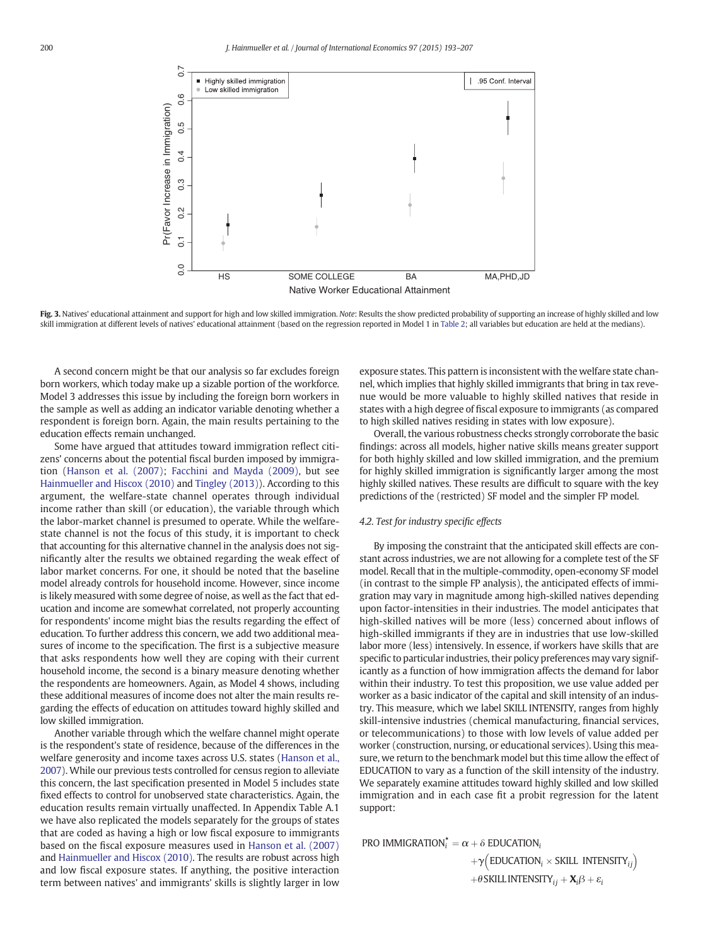<span id="page-7-0"></span>

Fig. 3. Natives' educational attainment and support for high and low skilled immigration. Note: Results the show predicted probability of supporting an increase of highly skilled and low skill immigration at different levels of natives' educational attainment (based on the regression reported in Model 1 in [Table 2](#page-6-0); all variables but education are held at the medians).

A second concern might be that our analysis so far excludes foreign born workers, which today make up a sizable portion of the workforce. Model 3 addresses this issue by including the foreign born workers in the sample as well as adding an indicator variable denoting whether a respondent is foreign born. Again, the main results pertaining to the education effects remain unchanged.

Some have argued that attitudes toward immigration reflect citizens' concerns about the potential fiscal burden imposed by immigration [\(Hanson et al. \(2007\)](#page-14-0); [Facchini and Mayda \(2009\),](#page-14-0) but see [Hainmueller and Hiscox \(2010\)](#page-14-0) and [Tingley \(2013\)\)](#page-14-0). According to this argument, the welfare-state channel operates through individual income rather than skill (or education), the variable through which the labor-market channel is presumed to operate. While the welfarestate channel is not the focus of this study, it is important to check that accounting for this alternative channel in the analysis does not significantly alter the results we obtained regarding the weak effect of labor market concerns. For one, it should be noted that the baseline model already controls for household income. However, since income is likely measured with some degree of noise, as well as the fact that education and income are somewhat correlated, not properly accounting for respondents' income might bias the results regarding the effect of education. To further address this concern, we add two additional measures of income to the specification. The first is a subjective measure that asks respondents how well they are coping with their current household income, the second is a binary measure denoting whether the respondents are homeowners. Again, as Model 4 shows, including these additional measures of income does not alter the main results regarding the effects of education on attitudes toward highly skilled and low skilled immigration.

Another variable through which the welfare channel might operate is the respondent's state of residence, because of the differences in the welfare generosity and income taxes across U.S. states ([Hanson et al.,](#page-14-0) [2007\)](#page-14-0). While our previous tests controlled for census region to alleviate this concern, the last specification presented in Model 5 includes state fixed effects to control for unobserved state characteristics. Again, the education results remain virtually unaffected. In Appendix Table A.1 we have also replicated the models separately for the groups of states that are coded as having a high or low fiscal exposure to immigrants based on the fiscal exposure measures used in [Hanson et al. \(2007\)](#page-14-0) and [Hainmueller and Hiscox \(2010\).](#page-14-0) The results are robust across high and low fiscal exposure states. If anything, the positive interaction term between natives' and immigrants' skills is slightly larger in low exposure states. This pattern is inconsistent with the welfare state channel, which implies that highly skilled immigrants that bring in tax revenue would be more valuable to highly skilled natives that reside in states with a high degree of fiscal exposure to immigrants (as compared to high skilled natives residing in states with low exposure).

Overall, the various robustness checks strongly corroborate the basic findings: across all models, higher native skills means greater support for both highly skilled and low skilled immigration, and the premium for highly skilled immigration is significantly larger among the most highly skilled natives. These results are difficult to square with the key predictions of the (restricted) SF model and the simpler FP model.

#### 4.2. Test for industry specific effects

By imposing the constraint that the anticipated skill effects are constant across industries, we are not allowing for a complete test of the SF model. Recall that in the multiple-commodity, open-economy SF model (in contrast to the simple FP analysis), the anticipated effects of immigration may vary in magnitude among high-skilled natives depending upon factor-intensities in their industries. The model anticipates that high-skilled natives will be more (less) concerned about inflows of high-skilled immigrants if they are in industries that use low-skilled labor more (less) intensively. In essence, if workers have skills that are specific to particular industries, their policy preferences may vary significantly as a function of how immigration affects the demand for labor within their industry. To test this proposition, we use value added per worker as a basic indicator of the capital and skill intensity of an industry. This measure, which we label SKILL INTENSITY, ranges from highly skill-intensive industries (chemical manufacturing, financial services, or telecommunications) to those with low levels of value added per worker (construction, nursing, or educational services). Using this measure, we return to the benchmark model but this time allow the effect of EDUCATION to vary as a function of the skill intensity of the industry. We separately examine attitudes toward highly skilled and low skilled immigration and in each case fit a probit regression for the latent support:

PRO IMMIGRATION $_i^\star = \alpha + \delta$  EDUCATION

$$
+\gamma \Big( \text{EDUCATION}_{i} \times \text{SKILL INTENSTITY}_{ij} \Big) + \theta \text{SKILL INTENSTITY}_{ij} + \mathbf{X}_{i} \beta + \varepsilon_{i}
$$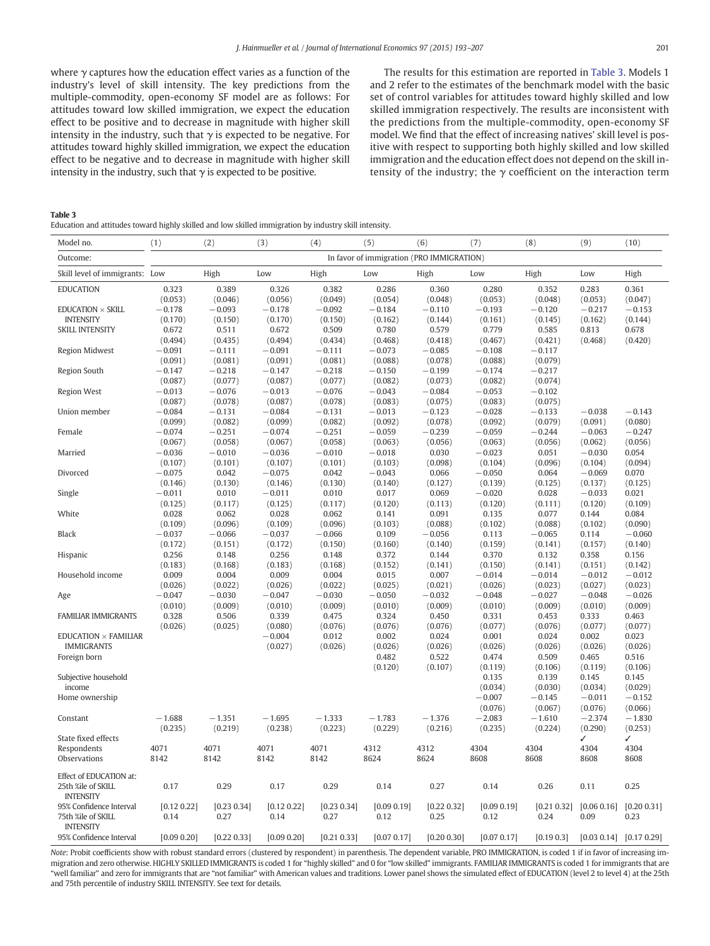<span id="page-8-0"></span>where  $\gamma$  captures how the education effect varies as a function of the industry's level of skill intensity. The key predictions from the multiple-commodity, open-economy SF model are as follows: For attitudes toward low skilled immigration, we expect the education effect to be positive and to decrease in magnitude with higher skill intensity in the industry, such that  $\gamma$  is expected to be negative. For attitudes toward highly skilled immigration, we expect the education effect to be negative and to decrease in magnitude with higher skill intensity in the industry, such that  $\gamma$  is expected to be positive.

The results for this estimation are reported in Table 3. Models 1 and 2 refer to the estimates of the benchmark model with the basic set of control variables for attitudes toward highly skilled and low skilled immigration respectively. The results are inconsistent with the predictions from the multiple-commodity, open-economy SF model. We find that the effect of increasing natives' skill level is positive with respect to supporting both highly skilled and low skilled immigration and the education effect does not depend on the skill intensity of the industry; the  $\gamma$  coefficient on the interaction term

#### Table 3

Education and attitudes toward highly skilled and low skilled immigration by industry skill intensity.

| Model no.                                     | (1)                                       | (2)                 | (3)                 | (4)                 | (5)                 | (6)                 | (7)                 | (8)                 | (9)                         | (10)                |
|-----------------------------------------------|-------------------------------------------|---------------------|---------------------|---------------------|---------------------|---------------------|---------------------|---------------------|-----------------------------|---------------------|
| Outcome:                                      | In favor of immigration (PRO IMMIGRATION) |                     |                     |                     |                     |                     |                     |                     |                             |                     |
| Skill level of immigrants: Low                |                                           | High                | Low                 | High                | Low                 | High                | Low                 | High                | Low                         | High                |
| <b>EDUCATION</b>                              | 0.323                                     | 0.389               | 0.326               | 0.382               | 0.286               | 0.360               | 0.280               | 0.352               | 0.283                       | 0.361               |
| EDUCATION $\times$ SKILL                      | (0.053)<br>$-0.178$                       | (0.046)<br>$-0.093$ | (0.056)<br>$-0.178$ | (0.049)<br>$-0.092$ | (0.054)<br>$-0.184$ | (0.048)<br>$-0.110$ | (0.053)<br>$-0.193$ | (0.048)<br>$-0.120$ | (0.053)<br>$-0.217$         | (0.047)<br>$-0.153$ |
| <b>INTENSITY</b>                              | (0.170)                                   | (0.150)             | (0.170)             | (0.150)             | (0.162)             | (0.144)             | (0.161)             | (0.145)             | (0.162)                     | (0.144)             |
| <b>SKILL INTENSITY</b>                        | 0.672                                     | 0.511               | 0.672               | 0.509               | 0.780               | 0.579               | 0.779               | 0.585               | 0.813                       | 0.678               |
|                                               | (0.494)                                   | (0.435)             | (0.494)             | (0.434)             | (0.468)             | (0.418)             | (0.467)             | (0.421)             | (0.468)                     | (0.420)             |
| <b>Region Midwest</b>                         | $-0.091$                                  | $-0.111$            | $-0.091$            | $-0.111$            | $-0.073$            | $-0.085$            | $-0.108$            | $-0.117$            |                             |                     |
|                                               | (0.091)                                   | (0.081)             | (0.091)             | (0.081)             | (0.088)             | (0.078)             | (0.088)             | (0.079)             |                             |                     |
| Region South                                  | $-0.147$                                  | $-0.218$            | $-0.147$            | $-0.218$            | $-0.150$            | $-0.199$            | $-0.174$            | $-0.217$            |                             |                     |
|                                               | (0.087)                                   | (0.077)             | (0.087)             | (0.077)             | (0.082)             | (0.073)             | (0.082)             | (0.074)             |                             |                     |
| <b>Region West</b>                            | $-0.013$                                  | $-0.076$            | $-0.013$            | $-0.076$            | $-0.043$            | $-0.084$            | $-0.053$            | $-0.102$            |                             |                     |
| Union member                                  | (0.087)                                   | (0.078)             | (0.087)<br>$-0.084$ | (0.078)             | (0.083)             | (0.075)             | (0.083)<br>$-0.028$ | (0.075)             |                             | $-0.143$            |
|                                               | $-0.084$<br>(0.099)                       | $-0.131$<br>(0.082) | (0.099)             | $-0.131$<br>(0.082) | $-0.013$<br>(0.092) | $-0.123$<br>(0.078) | (0.092)             | $-0.133$<br>(0.079) | $-0.038$<br>(0.091)         | (0.080)             |
| Female                                        | $-0.074$                                  | $-0.251$            | $-0.074$            | $-0.251$            | $-0.059$            | $-0.239$            | $-0.059$            | $-0.244$            | $-0.063$                    | $-0.247$            |
|                                               | (0.067)                                   | (0.058)             | (0.067)             | (0.058)             | (0.063)             | (0.056)             | (0.063)             | (0.056)             | (0.062)                     | (0.056)             |
| Married                                       | $-0.036$                                  | $-0.010$            | $-0.036$            | $-0.010$            | $-0.018$            | 0.030               | $-0.023$            | 0.051               | $-0.030$                    | 0.054               |
|                                               | (0.107)                                   | (0.101)             | (0.107)             | (0.101)             | (0.103)             | (0.098)             | (0.104)             | (0.096)             | (0.104)                     | (0.094)             |
| Divorced                                      | $-0.075$                                  | 0.042               | $-0.075$            | 0.042               | $-0.043$            | 0.066               | $-0.050$            | 0.064               | $-0.069$                    | 0.070               |
|                                               | (0.146)                                   | (0.130)             | (0.146)             | (0.130)             | (0.140)             | (0.127)             | (0.139)             | (0.125)             | (0.137)                     | (0.125)             |
| Single                                        | $-0.011$                                  | 0.010               | $-0.011$            | 0.010               | 0.017               | 0.069               | $-0.020$            | 0.028               | $-0.033$                    | 0.021               |
|                                               | (0.125)                                   | (0.117)             | (0.125)             | (0.117)             | (0.120)             | (0.113)             | (0.120)             | (0.111)             | (0.120)                     | (0.109)             |
| White                                         | 0.028                                     | 0.062               | 0.028               | 0.062               | 0.141               | 0.091               | 0.135               | 0.077               | 0.144                       | 0.084               |
|                                               | (0.109)                                   | (0.096)             | (0.109)             | (0.096)             | (0.103)             | (0.088)             | (0.102)             | (0.088)             | (0.102)                     | (0.090)             |
| <b>Black</b>                                  | $-0.037$                                  | $-0.066$            | $-0.037$            | $-0.066$            | 0.109               | $-0.056$            | 0.113               | $-0.065$            | 0.114                       | $-0.060$            |
| Hispanic                                      | (0.172)<br>0.256                          | (0.151)<br>0.148    | (0.172)<br>0.256    | (0.150)<br>0.148    | (0.160)<br>0.372    | (0.140)<br>0.144    | (0.159)<br>0.370    | (0.141)<br>0.132    | (0.157)<br>0.358            | (0.140)<br>0.156    |
|                                               | (0.183)                                   | (0.168)             | (0.183)             | (0.168)             | (0.152)             | (0.141)             | (0.150)             | (0.141)             | (0.151)                     | (0.142)             |
| Household income                              | 0.009                                     | 0.004               | 0.009               | 0.004               | 0.015               | 0.007               | $-0.014$            | $-0.014$            | $-0.012$                    | $-0.012$            |
|                                               | (0.026)                                   | (0.022)             | (0.026)             | (0.022)             | (0.025)             | (0.021)             | (0.026)             | (0.023)             | (0.027)                     | (0.023)             |
| Age                                           | $-0.047$                                  | $-0.030$            | $-0.047$            | $-0.030$            | $-0.050$            | $-0.032$            | $-0.048$            | $-0.027$            | $-0.048$                    | $-0.026$            |
|                                               | (0.010)                                   | (0.009)             | (0.010)             | (0.009)             | (0.010)             | (0.009)             | (0.010)             | (0.009)             | (0.010)                     | (0.009)             |
| <b>FAMILIAR IMMIGRANTS</b>                    | 0.328                                     | 0.506               | 0.339               | 0.475               | 0.324               | 0.450               | 0.331               | 0.453               | 0.333                       | 0.463               |
|                                               | (0.026)                                   | (0.025)             | (0.080)             | (0.076)             | (0.076)             | (0.076)             | (0.077)             | (0.076)             | (0.077)                     | (0.077)             |
| EDUCATION $\times$ FAMILIAR                   |                                           |                     | $-0.004$            | 0.012               | 0.002               | 0.024               | 0.001               | 0.024               | 0.002                       | 0.023               |
| <b>IMMIGRANTS</b>                             |                                           |                     | (0.027)             | (0.026)             | (0.026)             | (0.026)             | (0.026)             | (0.026)             | (0.026)                     | (0.026)             |
| Foreign born                                  |                                           |                     |                     |                     | 0.482<br>(0.120)    | 0.522<br>(0.107)    | 0.474<br>(0.119)    | 0.509<br>(0.106)    | 0.465<br>(0.119)            | 0.516<br>(0.106)    |
| Subjective household                          |                                           |                     |                     |                     |                     |                     | 0.135               | 0.139               | 0.145                       | 0.145               |
| income                                        |                                           |                     |                     |                     |                     |                     | (0.034)             | (0.030)             | (0.034)                     | (0.029)             |
| Home ownership                                |                                           |                     |                     |                     |                     |                     | $-0.007$            | $-0.145$            | $-0.011$                    | $-0.152$            |
|                                               |                                           |                     |                     |                     |                     |                     | (0.076)             | (0.067)             | (0.076)                     | (0.066)             |
| Constant                                      | $-1.688$                                  | $-1.351$            | $-1.695$            | $-1.333$            | $-1.783$            | $-1.376$            | $-2.083$            | $-1.610$            | $-2.374$                    | $-1.830$            |
|                                               | (0.235)                                   | (0.219)             | (0.238)             | (0.223)             | (0.229)             | (0.216)             | (0.235)             | (0.224)             | (0.290)                     | (0.253)             |
| State fixed effects                           |                                           |                     |                     |                     |                     |                     |                     |                     | ✓                           | ✓                   |
| Respondents                                   | 4071                                      | 4071                | 4071                | 4071                | 4312                | 4312                | 4304                | 4304                | 4304                        | 4304                |
| Observations                                  | 8142                                      | 8142                | 8142                | 8142                | 8624                | 8624                | 8608                | 8608                | 8608                        | 8608                |
| Effect of EDUCATION at:<br>25th %ile of SKILL | 0.17                                      | 0.29                | 0.17                | 0.29                | 0.14                | 0.27                | 0.14                | 0.26                | 0.11                        | 0.25                |
| <b>INTENSITY</b>                              |                                           |                     |                     |                     |                     |                     |                     |                     |                             |                     |
| 95% Confidence Interval<br>75th %ile of SKILL | [0.12 0.22]<br>0.14                       | [0.23 0.34]<br>0.27 | [0.12 0.22]<br>0.14 | [0.23 0.34]<br>0.27 | [0.09 0.19]<br>0.12 | [0.22 0.32]<br>0.25 | [0.09 0.19]<br>0.12 | [0.21 0.32]<br>0.24 | [0.06 0.16]<br>0.09         | [0.20 0.31]<br>0.23 |
| <b>INTENSITY</b><br>95% Confidence Interval   | [0.09 0.20]                               | [0.22 0.33]         | [0.09 0.20]         | [0.21 0.33]         | [0.07 0.17]         | [0.20 0.30]         | [0.07 0.17]         | [0.19 0.3]          | $[0.03 0.14]$ $[0.17 0.29]$ |                     |

Note: Probit coefficients show with robust standard errors (clustered by respondent) in parenthesis. The dependent variable, PRO IMMIGRATION, is coded 1 if in favor of increasing immigration and zero otherwise. HIGHLY SKILLED IMMIGRANTS is coded 1 for "highly skilled" and 0 for "low skilled" immigrants. FAMILIAR IMMIGRANTS is coded 1 for immigrants that are "well familiar" and zero for immigrants that are "not familiar" with American values and traditions. Lower panel shows the simulated effect of EDUCATION (level 2 to level 4) at the 25th and 75th percentile of industry SKILL INTENSITY. See text for details.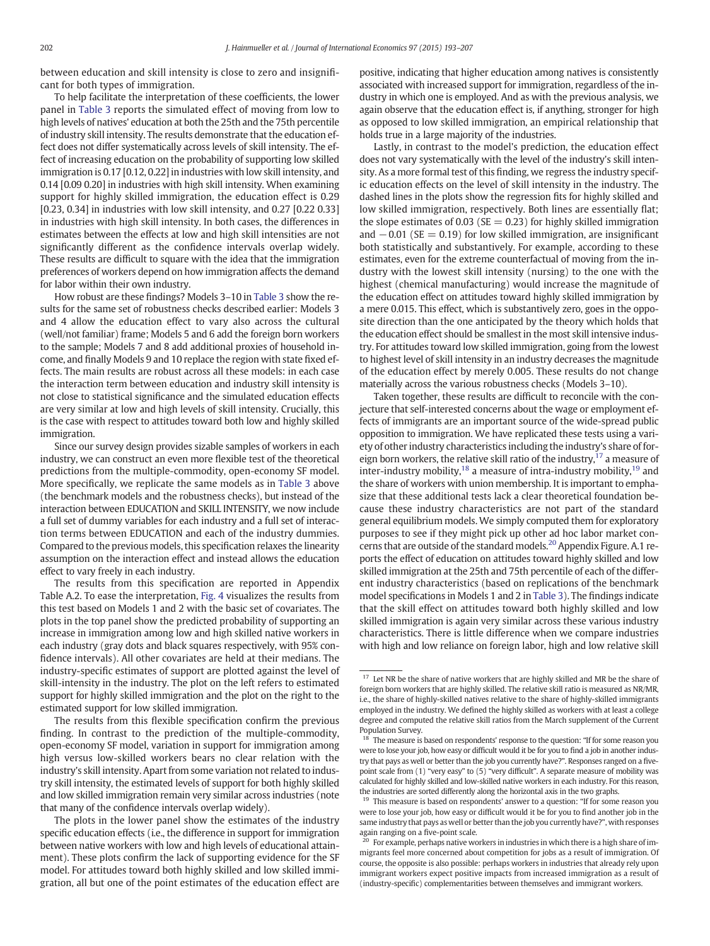between education and skill intensity is close to zero and insignificant for both types of immigration.

To help facilitate the interpretation of these coefficients, the lower panel in [Table 3](#page-8-0) reports the simulated effect of moving from low to high levels of natives' education at both the 25th and the 75th percentile of industry skill intensity. The results demonstrate that the education effect does not differ systematically across levels of skill intensity. The effect of increasing education on the probability of supporting low skilled immigration is 0.17 [0.12, 0.22] in industries with low skill intensity, and 0.14 [0.09 0.20] in industries with high skill intensity. When examining support for highly skilled immigration, the education effect is 0.29 [0.23, 0.34] in industries with low skill intensity, and 0.27 [0.22 0.33] in industries with high skill intensity. In both cases, the differences in estimates between the effects at low and high skill intensities are not significantly different as the confidence intervals overlap widely. These results are difficult to square with the idea that the immigration preferences of workers depend on how immigration affects the demand for labor within their own industry.

How robust are these findings? Models 3–10 in [Table 3](#page-8-0) show the results for the same set of robustness checks described earlier: Models 3 and 4 allow the education effect to vary also across the cultural (well/not familiar) frame; Models 5 and 6 add the foreign born workers to the sample; Models 7 and 8 add additional proxies of household income, and finally Models 9 and 10 replace the region with state fixed effects. The main results are robust across all these models: in each case the interaction term between education and industry skill intensity is not close to statistical significance and the simulated education effects are very similar at low and high levels of skill intensity. Crucially, this is the case with respect to attitudes toward both low and highly skilled immigration.

Since our survey design provides sizable samples of workers in each industry, we can construct an even more flexible test of the theoretical predictions from the multiple-commodity, open-economy SF model. More specifically, we replicate the same models as in [Table 3](#page-8-0) above (the benchmark models and the robustness checks), but instead of the interaction between EDUCATION and SKILL INTENSITY, we now include a full set of dummy variables for each industry and a full set of interaction terms between EDUCATION and each of the industry dummies. Compared to the previous models, this specification relaxes the linearity assumption on the interaction effect and instead allows the education effect to vary freely in each industry.

The results from this specification are reported in Appendix Table A.2. To ease the interpretation, [Fig. 4](#page-10-0) visualizes the results from this test based on Models 1 and 2 with the basic set of covariates. The plots in the top panel show the predicted probability of supporting an increase in immigration among low and high skilled native workers in each industry (gray dots and black squares respectively, with 95% confidence intervals). All other covariates are held at their medians. The industry-specific estimates of support are plotted against the level of skill-intensity in the industry. The plot on the left refers to estimated support for highly skilled immigration and the plot on the right to the estimated support for low skilled immigration.

The results from this flexible specification confirm the previous finding. In contrast to the prediction of the multiple-commodity, open-economy SF model, variation in support for immigration among high versus low-skilled workers bears no clear relation with the industry's skill intensity. Apart from some variation not related to industry skill intensity, the estimated levels of support for both highly skilled and low skilled immigration remain very similar across industries (note that many of the confidence intervals overlap widely).

The plots in the lower panel show the estimates of the industry specific education effects (i.e., the difference in support for immigration between native workers with low and high levels of educational attainment). These plots confirm the lack of supporting evidence for the SF model. For attitudes toward both highly skilled and low skilled immigration, all but one of the point estimates of the education effect are positive, indicating that higher education among natives is consistently associated with increased support for immigration, regardless of the industry in which one is employed. And as with the previous analysis, we again observe that the education effect is, if anything, stronger for high as opposed to low skilled immigration, an empirical relationship that holds true in a large majority of the industries.

Lastly, in contrast to the model's prediction, the education effect does not vary systematically with the level of the industry's skill intensity. As a more formal test of this finding, we regress the industry specific education effects on the level of skill intensity in the industry. The dashed lines in the plots show the regression fits for highly skilled and low skilled immigration, respectively. Both lines are essentially flat; the slope estimates of 0.03 ( $SE = 0.23$ ) for highly skilled immigration and  $-0.01$  (SE = 0.19) for low skilled immigration, are insignificant both statistically and substantively. For example, according to these estimates, even for the extreme counterfactual of moving from the industry with the lowest skill intensity (nursing) to the one with the highest (chemical manufacturing) would increase the magnitude of the education effect on attitudes toward highly skilled immigration by a mere 0.015. This effect, which is substantively zero, goes in the opposite direction than the one anticipated by the theory which holds that the education effect should be smallest in the most skill intensive industry. For attitudes toward low skilled immigration, going from the lowest to highest level of skill intensity in an industry decreases the magnitude of the education effect by merely 0.005. These results do not change materially across the various robustness checks (Models 3–10).

Taken together, these results are difficult to reconcile with the conjecture that self-interested concerns about the wage or employment effects of immigrants are an important source of the wide-spread public opposition to immigration. We have replicated these tests using a variety of other industry characteristics including the industry's share of foreign born workers, the relative skill ratio of the industry,  $17$  a measure of inter-industry mobility, $18$  a measure of intra-industry mobility, $19$  and the share of workers with union membership. It is important to emphasize that these additional tests lack a clear theoretical foundation because these industry characteristics are not part of the standard general equilibrium models. We simply computed them for exploratory purposes to see if they might pick up other ad hoc labor market concerns that are outside of the standard models.<sup>20</sup> Appendix Figure. A.1 reports the effect of education on attitudes toward highly skilled and low skilled immigration at the 25th and 75th percentile of each of the different industry characteristics (based on replications of the benchmark model specifications in Models 1 and 2 in [Table 3\)](#page-8-0). The findings indicate that the skill effect on attitudes toward both highly skilled and low skilled immigration is again very similar across these various industry characteristics. There is little difference when we compare industries with high and low reliance on foreign labor, high and low relative skill

 $17$  Let NR be the share of native workers that are highly skilled and MR be the share of foreign born workers that are highly skilled. The relative skill ratio is measured as NR/MR, i.e., the share of highly-skilled natives relative to the share of highly-skilled immigrants employed in the industry. We defined the highly skilled as workers with at least a college degree and computed the relative skill ratios from the March supplement of the Current

Population Survey.<br><sup>18</sup> The measure is based on respondents' response to the question: "If for some reason you were to lose your job, how easy or difficult would it be for you to find a job in another industry that pays as well or better than the job you currently have?". Responses ranged on a fivepoint scale from (1) "very easy" to (5) "very difficult". A separate measure of mobility was calculated for highly skilled and low-skilled native workers in each industry. For this reason, the industries are sorted differently along the horizontal axis in the two graphs.

<sup>&</sup>lt;sup>19</sup> This measure is based on respondents' answer to a question: "If for some reason you were to lose your job, how easy or difficult would it be for you to find another job in the same industry that pays as well or better than the job you currently have?", with responses again ranging on a five-point scale.

 $20$  For example, perhaps native workers in industries in which there is a high share of immigrants feel more concerned about competition for jobs as a result of immigration. Of course, the opposite is also possible: perhaps workers in industries that already rely upon immigrant workers expect positive impacts from increased immigration as a result of (industry-specific) complementarities between themselves and immigrant workers.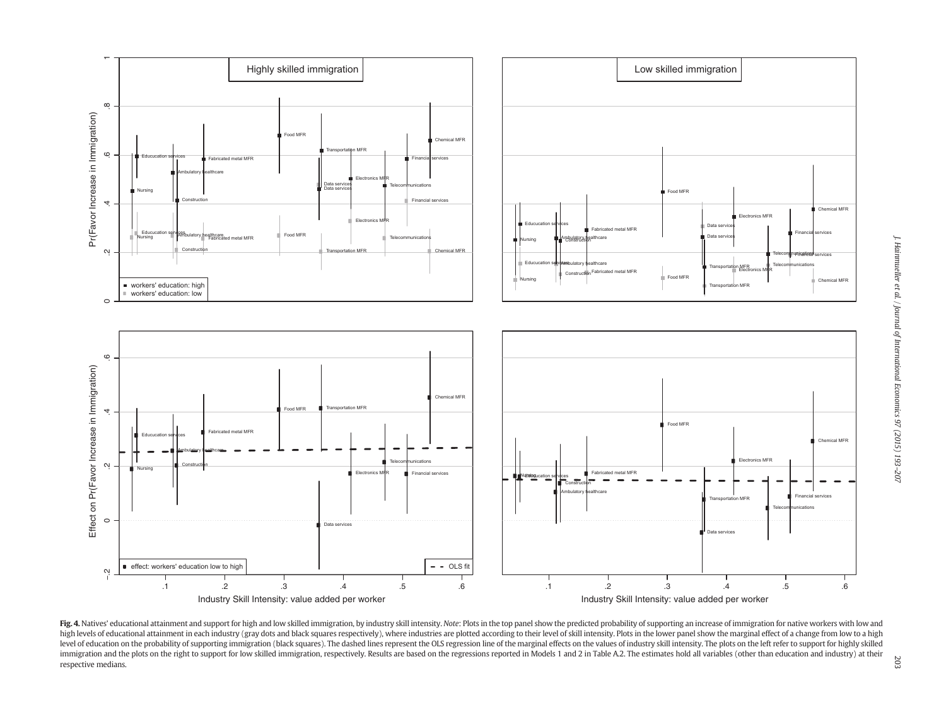<span id="page-10-0"></span>

Fig. 4. Natives' educational attainment and support for high and low skilled immigration, by industry skill intensity. Note: Plots in the top panel show the predicted probability of supporting an increase of immigration fo high levels of educational attainment in each industry (gray dots and black squares respectively), where industries are plotted according to their level of skill intensity. Plots in the lower panel show the marginal effect level of education on the probability of supporting immigration (black squares). The dashed lines represent the OLS regression line of the marginal effects on the values of industry skill intensity. The plots on the left r immigration and the plots on the right to support for low skilled immigration, respectively. Results are based on the regressions reported in Models 1 and 2 in Table A.2. The estimates hold all variables (other than educat respective medians.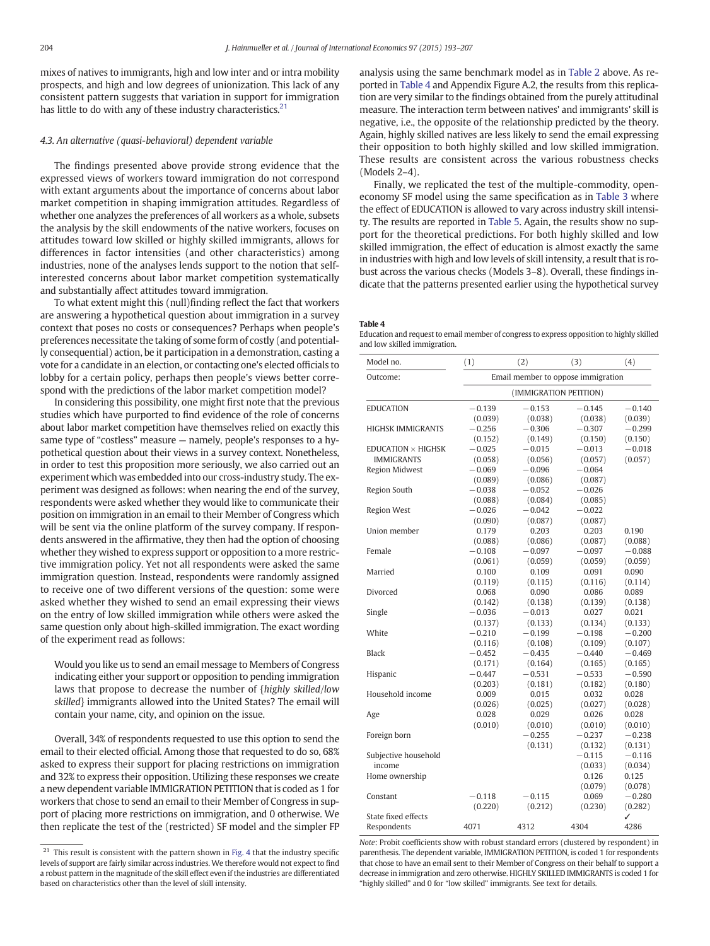mixes of natives to immigrants, high and low inter and or intra mobility prospects, and high and low degrees of unionization. This lack of any consistent pattern suggests that variation in support for immigration has little to do with any of these industry characteristics. $21$ 

#### 4.3. An alternative (quasi-behavioral) dependent variable

The findings presented above provide strong evidence that the expressed views of workers toward immigration do not correspond with extant arguments about the importance of concerns about labor market competition in shaping immigration attitudes. Regardless of whether one analyzes the preferences of all workers as a whole, subsets the analysis by the skill endowments of the native workers, focuses on attitudes toward low skilled or highly skilled immigrants, allows for differences in factor intensities (and other characteristics) among industries, none of the analyses lends support to the notion that selfinterested concerns about labor market competition systematically and substantially affect attitudes toward immigration.

To what extent might this (null)finding reflect the fact that workers are answering a hypothetical question about immigration in a survey context that poses no costs or consequences? Perhaps when people's preferences necessitate the taking of some form of costly (and potentially consequential) action, be it participation in a demonstration, casting a vote for a candidate in an election, or contacting one's elected officials to lobby for a certain policy, perhaps then people's views better correspond with the predictions of the labor market competition model?

In considering this possibility, one might first note that the previous studies which have purported to find evidence of the role of concerns about labor market competition have themselves relied on exactly this same type of "costless" measure — namely, people's responses to a hypothetical question about their views in a survey context. Nonetheless, in order to test this proposition more seriously, we also carried out an experiment which was embedded into our cross-industry study. The experiment was designed as follows: when nearing the end of the survey, respondents were asked whether they would like to communicate their position on immigration in an email to their Member of Congress which will be sent via the online platform of the survey company. If respondents answered in the affirmative, they then had the option of choosing whether they wished to express support or opposition to a more restrictive immigration policy. Yet not all respondents were asked the same immigration question. Instead, respondents were randomly assigned to receive one of two different versions of the question: some were asked whether they wished to send an email expressing their views on the entry of low skilled immigration while others were asked the same question only about high-skilled immigration. The exact wording of the experiment read as follows:

Would you like us to send an email message to Members of Congress indicating either your support or opposition to pending immigration laws that propose to decrease the number of {highly skilled/low skilled} immigrants allowed into the United States? The email will contain your name, city, and opinion on the issue.

Overall, 34% of respondents requested to use this option to send the email to their elected official. Among those that requested to do so, 68% asked to express their support for placing restrictions on immigration and 32% to express their opposition. Utilizing these responses we create a new dependent variable IMMIGRATION PETITION that is coded as 1 for workers that chose to send an email to their Member of Congress in support of placing more restrictions on immigration, and 0 otherwise. We then replicate the test of the (restricted) SF model and the simpler FP analysis using the same benchmark model as in [Table 2](#page-6-0) above. As reported in Table 4 and Appendix Figure A.2, the results from this replication are very similar to the findings obtained from the purely attitudinal measure. The interaction term between natives' and immigrants' skill is negative, i.e., the opposite of the relationship predicted by the theory. Again, highly skilled natives are less likely to send the email expressing their opposition to both highly skilled and low skilled immigration. These results are consistent across the various robustness checks (Models 2–4).

Finally, we replicated the test of the multiple-commodity, openeconomy SF model using the same specification as in [Table 3](#page-8-0) where the effect of EDUCATION is allowed to vary across industry skill intensity. The results are reported in [Table 5.](#page-12-0) Again, the results show no support for the theoretical predictions. For both highly skilled and low skilled immigration, the effect of education is almost exactly the same in industries with high and low levels of skill intensity, a result that is robust across the various checks (Models 3–8). Overall, these findings indicate that the patterns presented earlier using the hypothetical survey

#### Table 4

Education and request to email member of congress to express opposition to highly skilled and low skilled immigration.

| Model no.                 | (1)                                | (2)      | (3)      | (4)      |  |  |  |
|---------------------------|------------------------------------|----------|----------|----------|--|--|--|
| Outcome:                  | Email member to oppose immigration |          |          |          |  |  |  |
|                           |                                    |          |          |          |  |  |  |
| <b>EDUCATION</b>          | $-0.139$                           | $-0.153$ | $-0.145$ | $-0.140$ |  |  |  |
|                           | (0.039)                            | (0.038)  | (0.038)  | (0.039)  |  |  |  |
| HIGHSK IMMIGRANTS         | $-0.256$                           | $-0.306$ | $-0.307$ | $-0.299$ |  |  |  |
|                           | (0.152)                            | (0.149)  | (0.150)  | (0.150)  |  |  |  |
| EDUCATION $\times$ HIGHSK | $-0.025$                           | $-0.015$ | $-0.013$ | $-0.018$ |  |  |  |
| <b>IMMIGRANTS</b>         | (0.058)                            | (0.056)  | (0.057)  | (0.057)  |  |  |  |
| <b>Region Midwest</b>     | $-0.069$                           | $-0.096$ | $-0.064$ |          |  |  |  |
|                           | (0.089)                            | (0.086)  | (0.087)  |          |  |  |  |
| Region South              | $-0.038$                           | $-0.052$ | $-0.026$ |          |  |  |  |
|                           | (0.088)                            | (0.084)  | (0.085)  |          |  |  |  |
| <b>Region West</b>        | $-0.026$                           | $-0.042$ | $-0.022$ |          |  |  |  |
|                           | (0.090)                            | (0.087)  | (0.087)  |          |  |  |  |
| Union member              | 0.179                              | 0.203    | 0.203    | 0.190    |  |  |  |
|                           | (0.088)                            | (0.086)  | (0.087)  | (0.088)  |  |  |  |
| Female                    | $-0.108$                           | $-0.097$ | $-0.097$ | $-0.088$ |  |  |  |
|                           | (0.061)                            | (0.059)  | (0.059)  | (0.059)  |  |  |  |
| Married                   | 0.100                              | 0.109    | 0.091    | 0.090    |  |  |  |
|                           | (0.119)                            | (0.115)  | (0.116)  | (0.114)  |  |  |  |
| Divorced                  | 0.068                              | 0.090    | 0.086    | 0.089    |  |  |  |
|                           | (0.142)                            | (0.138)  | (0.139)  | (0.138)  |  |  |  |
| Single                    | $-0.036$                           | $-0.013$ | 0.027    | 0.021    |  |  |  |
|                           | (0.137)                            | (0.133)  | (0.134)  | (0.133)  |  |  |  |
| White                     | $-0.210$                           | $-0.199$ | $-0.198$ | $-0.200$ |  |  |  |
|                           | (0.116)                            | (0.108)  | (0.109)  | (0.107)  |  |  |  |
| <b>Black</b>              | $-0.452$                           | $-0.435$ | $-0.440$ | $-0.469$ |  |  |  |
|                           | (0.171)                            | (0.164)  | (0.165)  | (0.165)  |  |  |  |
| Hispanic                  | $-0.447$                           | $-0.531$ | $-0.533$ | $-0.590$ |  |  |  |
|                           | (0.203)                            | (0.181)  | (0.182)  | (0.180)  |  |  |  |
| Household income          | 0.009                              | 0.015    | 0.032    | 0.028    |  |  |  |
|                           | (0.026)                            | (0.025)  | (0.027)  | (0.028)  |  |  |  |
| Age                       | 0.028                              | 0.029    | 0.026    | 0.028    |  |  |  |
|                           | (0.010)                            | (0.010)  | (0.010)  | (0.010)  |  |  |  |
| Foreign born              |                                    | $-0.255$ | $-0.237$ | $-0.238$ |  |  |  |
|                           |                                    | (0.131)  | (0.132)  | (0.131)  |  |  |  |
| Subjective household      |                                    |          | $-0.115$ | $-0.116$ |  |  |  |
| income                    |                                    |          | (0.033)  | (0.034)  |  |  |  |
| Home ownership            |                                    |          | 0.126    | 0.125    |  |  |  |
|                           |                                    |          | (0.079)  | (0.078)  |  |  |  |
| Constant                  | $-0.118$                           | $-0.115$ | 0.069    | $-0.280$ |  |  |  |
|                           | (0.220)                            | (0.212)  | (0.230)  | (0.282)  |  |  |  |
| State fixed effects       |                                    |          |          | ✓        |  |  |  |
| Respondents               | 4071                               | 4312     | 4304     | 4286     |  |  |  |
|                           |                                    |          |          |          |  |  |  |

Note: Probit coefficients show with robust standard errors (clustered by respondent) in parenthesis. The dependent variable, IMMIGRATION PETITION, is coded 1 for respondents that chose to have an email sent to their Member of Congress on their behalf to support a decrease in immigration and zero otherwise. HIGHLY SKILLED IMMIGRANTS is coded 1 for "highly skilled" and 0 for "low skilled" immigrants. See text for details.

 $^{21}\,$  This result is consistent with the pattern shown in [Fig. 4](#page-10-0) that the industry specific levels of support are fairly similar across industries. We therefore would not expect to find a robust pattern in the magnitude of the skill effect even if the industries are differentiated based on characteristics other than the level of skill intensity.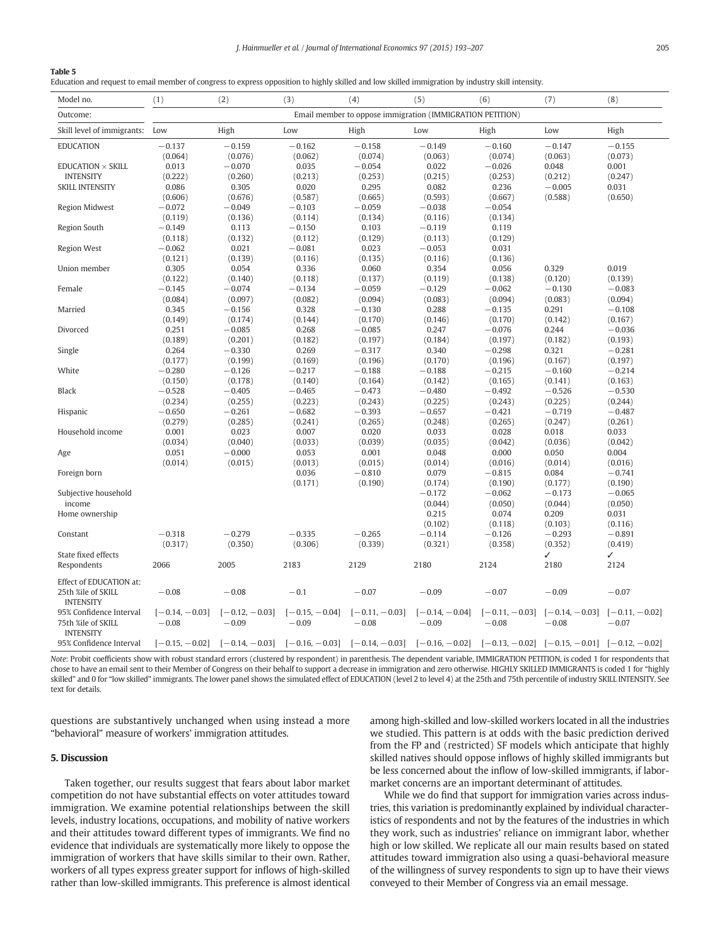#### <span id="page-12-0"></span>Table 5

Education and request to email member of congress to express opposition to highly skilled and low skilled immigration by industry skill intensity.

| Model no.                                   | (1)                                                       | (2)                         | (3)                         | (4)                         | (5)                         | (6)                                                                                                                                             | (7)                         | (8)              |
|---------------------------------------------|-----------------------------------------------------------|-----------------------------|-----------------------------|-----------------------------|-----------------------------|-------------------------------------------------------------------------------------------------------------------------------------------------|-----------------------------|------------------|
| Outcome:                                    | Email member to oppose immigration (IMMIGRATION PETITION) |                             |                             |                             |                             |                                                                                                                                                 |                             |                  |
| Skill level of immigrants:                  | Low                                                       | High                        | Low                         | High                        | Low                         | High                                                                                                                                            | Low                         | High             |
| <b>EDUCATION</b>                            | $-0.137$                                                  | $-0.159$                    | $-0.162$                    | $-0.158$                    | $-0.149$                    | $-0.160$                                                                                                                                        | $-0.147$                    | $-0.155$         |
|                                             | (0.064)                                                   | (0.076)                     | (0.062)                     | (0.074)                     | (0.063)                     | (0.074)                                                                                                                                         | (0.063)                     | (0.073)          |
| EDUCATION $\times$ SKILL                    | 0.013                                                     | $-0.070$                    | 0.035                       | $-0.054$                    | 0.022                       | $-0.026$                                                                                                                                        | 0.048                       | 0.001            |
| <b>INTENSITY</b>                            | (0.222)                                                   | (0.260)                     | (0.213)                     | (0.253)                     | (0.215)                     | (0.253)                                                                                                                                         | (0.212)                     | (0.247)          |
| <b>SKILL INTENSITY</b>                      | 0.086                                                     | 0.305                       | 0.020                       | 0.295                       | 0.082                       | 0.236                                                                                                                                           | $-0.005$                    | 0.031            |
|                                             | (0.606)                                                   | (0.676)                     | (0.587)                     | (0.665)                     | (0.593)                     | (0.667)                                                                                                                                         | (0.588)                     | (0.650)          |
| <b>Region Midwest</b>                       | $-0.072$                                                  | $-0.049$                    | $-0.103$                    | $-0.059$                    | $-0.038$                    | $-0.054$                                                                                                                                        |                             |                  |
|                                             | (0.119)                                                   | (0.136)                     | (0.114)                     | (0.134)                     | (0.116)                     | (0.134)                                                                                                                                         |                             |                  |
| Region South                                | $-0.149$                                                  | 0.113                       | $-0.150$                    | 0.103                       | $-0.119$                    | 0.119                                                                                                                                           |                             |                  |
|                                             | (0.118)                                                   | (0.132)                     | (0.112)                     | (0.129)                     | (0.113)                     | (0.129)                                                                                                                                         |                             |                  |
| <b>Region West</b>                          | $-0.062$                                                  | 0.021                       | $-0.081$                    | 0.023                       | $-0.053$                    | 0.031                                                                                                                                           |                             |                  |
|                                             | (0.121)                                                   | (0.139)                     | (0.116)                     | (0.135)                     | (0.116)                     | (0.136)                                                                                                                                         |                             |                  |
| Union member                                | 0.305                                                     | 0.054                       | 0.336                       | 0.060                       | 0.354                       | 0.056                                                                                                                                           | 0.329                       | 0.019            |
|                                             | (0.122)                                                   | (0.140)                     | (0.118)                     | (0.137)                     | (0.119)                     | (0.138)                                                                                                                                         | (0.120)                     | (0.139)          |
| Female                                      | $-0.145$                                                  | $-0.074$                    | $-0.134$                    | $-0.059$                    | $-0.129$                    | $-0.062$                                                                                                                                        | $-0.130$                    | $-0.083$         |
|                                             | (0.084)                                                   | (0.097)                     | (0.082)                     | (0.094)                     | (0.083)                     | (0.094)                                                                                                                                         | (0.083)                     | (0.094)          |
| Married                                     | 0.345                                                     | $-0.156$                    | 0.328                       | $-0.130$                    | 0.288                       | $-0.135$                                                                                                                                        | 0.291                       | $-0.108$         |
|                                             | (0.149)                                                   | (0.174)                     | (0.144)                     | (0.170)                     | (0.146)                     | (0.170)                                                                                                                                         | (0.142)                     | (0.167)          |
| Divorced                                    | 0.251                                                     | $-0.085$                    | 0.268                       | $-0.085$                    | 0.247                       | $-0.076$                                                                                                                                        | 0.244                       | $-0.036$         |
|                                             | (0.189)                                                   | (0.201)                     | (0.182)                     | (0.197)                     | (0.184)                     | (0.197)                                                                                                                                         | (0.182)                     | (0.193)          |
| Single                                      | 0.264                                                     | $-0.330$                    | 0.269                       | $-0.317$                    | 0.340                       | $-0.298$                                                                                                                                        | 0.321                       | $-0.281$         |
|                                             | (0.177)                                                   | (0.199)                     | (0.169)                     | (0.196)                     | (0.170)                     | (0.196)                                                                                                                                         | (0.167)                     | (0.197)          |
| White                                       | $-0.280$                                                  | $-0.126$                    | $-0.217$                    | $-0.188$                    | $-0.188$                    | $-0.215$                                                                                                                                        | $-0.160$                    | $-0.214$         |
|                                             | (0.150)                                                   | (0.178)                     | (0.140)                     | (0.164)                     | (0.142)                     | (0.165)                                                                                                                                         | (0.141)                     | (0.163)          |
| <b>Black</b>                                | $-0.528$                                                  | $-0.405$                    | $-0.465$                    | $-0.473$                    | $-0.480$                    | $-0.492$                                                                                                                                        | $-0.526$                    | $-0.530$         |
|                                             | (0.234)                                                   | (0.255)                     | (0.223)                     | (0.243)                     | (0.225)                     | (0.243)                                                                                                                                         | (0.225)                     | (0.244)          |
| Hispanic                                    | $-0.650$                                                  | $-0.261$                    | $-0.682$                    | $-0.393$                    | $-0.657$                    | $-0.421$                                                                                                                                        | $-0.719$                    | $-0.487$         |
|                                             | (0.279)                                                   | (0.285)                     | (0.241)                     | (0.265)                     | (0.248)                     | (0.265)                                                                                                                                         | (0.247)                     | (0.261)          |
| Household income                            | 0.001                                                     | 0.023                       | 0.007                       | 0.020                       | 0.033                       | 0.028                                                                                                                                           | 0.018                       | 0.033            |
|                                             | (0.034)                                                   | (0.040)                     | (0.033)                     | (0.039)                     | (0.035)                     | (0.042)                                                                                                                                         | (0.036)                     | (0.042)          |
|                                             | 0.051                                                     | $-0.000$                    | 0.053                       | 0.001                       | 0.048                       | 0.000                                                                                                                                           | 0.050                       | 0.004            |
| Age                                         |                                                           |                             |                             |                             |                             |                                                                                                                                                 |                             |                  |
|                                             | (0.014)                                                   | (0.015)                     | (0.013)                     | (0.015)                     | (0.014)                     | (0.016)                                                                                                                                         | (0.014)                     | (0.016)          |
| Foreign born                                |                                                           |                             | 0.036                       | $-0.810$                    | 0.079                       | $-0.815$                                                                                                                                        | 0.084                       | $-0.741$         |
|                                             |                                                           |                             | (0.171)                     | (0.190)                     | (0.174)                     | (0.190)                                                                                                                                         | (0.177)                     | (0.190)          |
| Subjective household                        |                                                           |                             |                             |                             | $-0.172$                    | $-0.062$                                                                                                                                        | $-0.173$                    | $-0.065$         |
| income                                      |                                                           |                             |                             |                             | (0.044)                     | (0.050)                                                                                                                                         | (0.044)                     | (0.050)          |
| Home ownership                              |                                                           |                             |                             |                             | 0.215                       | 0.074                                                                                                                                           | 0.209                       | 0.031            |
|                                             |                                                           |                             |                             |                             | (0.102)                     | (0.118)                                                                                                                                         | (0.103)                     | (0.116)          |
| Constant                                    | $-0.318$                                                  | $-0.279$                    | $-0.335$                    | $-0.265$                    | $-0.114$                    | $-0.126$                                                                                                                                        | $-0.293$                    | $-0.891$         |
|                                             | (0.317)                                                   | (0.350)                     | (0.306)                     | (0.339)                     | (0.321)                     | (0.358)                                                                                                                                         | (0.352)                     | (0.419)          |
| State fixed effects                         |                                                           |                             |                             |                             |                             |                                                                                                                                                 | ✓                           | ✓                |
| Respondents                                 | 2066                                                      | 2005                        | 2183                        | 2129                        | 2180                        | 2124                                                                                                                                            | 2180                        | 2124             |
| Effect of EDUCATION at:                     |                                                           |                             |                             |                             |                             |                                                                                                                                                 |                             |                  |
| 25th %ile of SKILL                          | $-0.08$                                                   | $-0.08$                     | $-0.1$                      | $-0.07$                     | $-0.09$                     | $-0.07$                                                                                                                                         | $-0.09$                     | $-0.07$          |
| <b>INTENSITY</b>                            |                                                           |                             |                             |                             |                             |                                                                                                                                                 |                             |                  |
| 95% Confidence Interval                     |                                                           |                             |                             |                             |                             | $[-0.11, -0.03]$                                                                                                                                |                             | $[-0.11, -0.02]$ |
|                                             | $[-0.14, -0.03]$<br>$-0.08$                               | $[-0.12, -0.03]$<br>$-0.09$ | $[-0.15, -0.04]$<br>$-0.09$ | $[-0.11, -0.03]$<br>$-0.08$ | $[-0.14, -0.04]$<br>$-0.09$ | $-0.08$                                                                                                                                         | $[-0.14, -0.03]$<br>$-0.08$ | $-0.07$          |
| 75th %ile of SKILL                          |                                                           |                             |                             |                             |                             |                                                                                                                                                 |                             |                  |
| <b>INTENSITY</b><br>95% Confidence Interval | $[-0.15, -0.02]$                                          |                             |                             |                             |                             |                                                                                                                                                 |                             |                  |
| $\sim$                                      |                                                           | $[-0.14, -0.03]$            | $[-0.16, -0.03]$            | $[-0.14, -0.03]$            | $[-0.16, -0.02]$            | $[-0.13, -0.02]$ $[-0.15, -0.01]$ $[-0.12, -0.02]$<br>$\cdots$ $\cdots$ $\cdots$ $\cdots$ $\cdots$ $\cdots$ $\cdots$ $\cdots$ $\cdots$ $\cdots$ |                             |                  |

Note: Probit coefficients show with robust standard errors (clustered by respondent) in parenthesis. The dependent variable, IMMIGRATION PETITION, is coded 1 for respondents that chose to have an email sent to their Member of Congress on their behalf to support a decrease in immigration and zero otherwise. HIGHLY SKILLED IMMIGRANTS is coded 1 for "highly skilled" and 0 for "low skilled" immigrants. The lower panel shows the simulated effect of EDUCATION (level 2 to level 4) at the 25th and 75th percentile of industry SKILL INTENSITY. See text for details.

questions are substantively unchanged when using instead a more "behavioral" measure of workers' immigration attitudes.

#### 5. Discussion

Taken together, our results suggest that fears about labor market competition do not have substantial effects on voter attitudes toward immigration. We examine potential relationships between the skill levels, industry locations, occupations, and mobility of native workers and their attitudes toward different types of immigrants. We find no evidence that individuals are systematically more likely to oppose the immigration of workers that have skills similar to their own. Rather, workers of all types express greater support for inflows of high-skilled rather than low-skilled immigrants. This preference is almost identical

among high-skilled and low-skilled workers located in all the industries we studied. This pattern is at odds with the basic prediction derived from the FP and (restricted) SF models which anticipate that highly skilled natives should oppose inflows of highly skilled immigrants but be less concerned about the inflow of low-skilled immigrants, if labormarket concerns are an important determinant of attitudes.

While we do find that support for immigration varies across industries, this variation is predominantly explained by individual characteristics of respondents and not by the features of the industries in which they work, such as industries' reliance on immigrant labor, whether high or low skilled. We replicate all our main results based on stated attitudes toward immigration also using a quasi-behavioral measure of the willingness of survey respondents to sign up to have their views conveyed to their Member of Congress via an email message.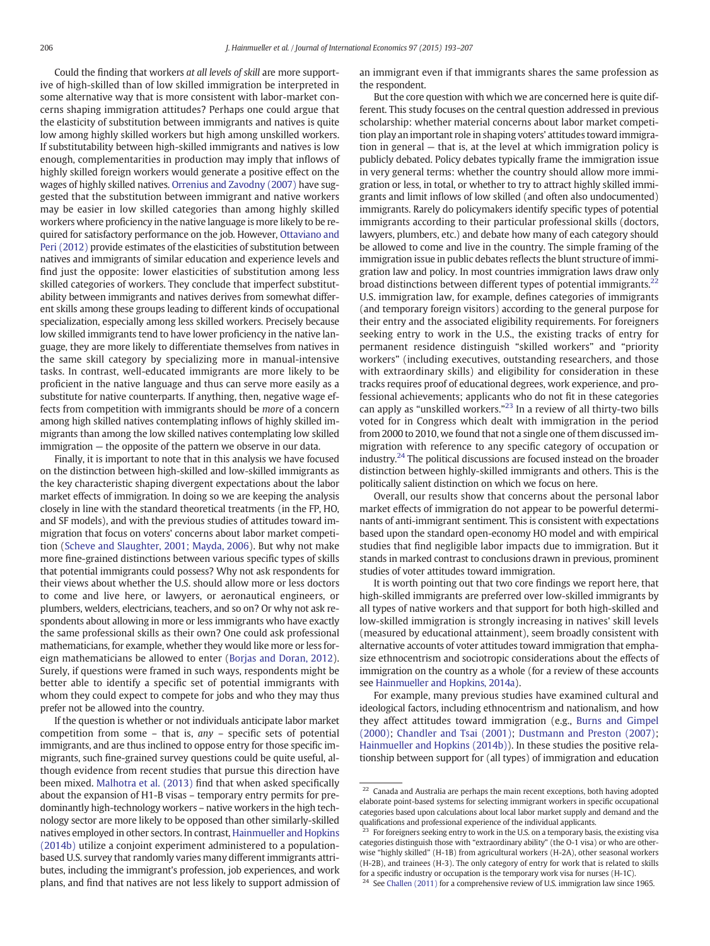Could the finding that workers at all levels of skill are more supportive of high-skilled than of low skilled immigration be interpreted in some alternative way that is more consistent with labor-market concerns shaping immigration attitudes? Perhaps one could argue that the elasticity of substitution between immigrants and natives is quite low among highly skilled workers but high among unskilled workers. If substitutability between high-skilled immigrants and natives is low enough, complementarities in production may imply that inflows of highly skilled foreign workers would generate a positive effect on the wages of highly skilled natives. [Orrenius and Zavodny \(2007\)](#page-14-0) have suggested that the substitution between immigrant and native workers may be easier in low skilled categories than among highly skilled workers where proficiency in the native language is more likely to be required for satisfactory performance on the job. However, [Ottaviano and](#page-14-0) [Peri \(2012\)](#page-14-0) provide estimates of the elasticities of substitution between natives and immigrants of similar education and experience levels and find just the opposite: lower elasticities of substitution among less skilled categories of workers. They conclude that imperfect substitutability between immigrants and natives derives from somewhat different skills among these groups leading to different kinds of occupational specialization, especially among less skilled workers. Precisely because low skilled immigrants tend to have lower proficiency in the native language, they are more likely to differentiate themselves from natives in the same skill category by specializing more in manual-intensive tasks. In contrast, well-educated immigrants are more likely to be proficient in the native language and thus can serve more easily as a substitute for native counterparts. If anything, then, negative wage effects from competition with immigrants should be more of a concern among high skilled natives contemplating inflows of highly skilled immigrants than among the low skilled natives contemplating low skilled immigration — the opposite of the pattern we observe in our data.

Finally, it is important to note that in this analysis we have focused on the distinction between high-skilled and low-skilled immigrants as the key characteristic shaping divergent expectations about the labor market effects of immigration. In doing so we are keeping the analysis closely in line with the standard theoretical treatments (in the FP, HO, and SF models), and with the previous studies of attitudes toward immigration that focus on voters' concerns about labor market competition [\(Scheve and Slaughter, 2001; Mayda, 2006\)](#page-14-0). But why not make more fine-grained distinctions between various specific types of skills that potential immigrants could possess? Why not ask respondents for their views about whether the U.S. should allow more or less doctors to come and live here, or lawyers, or aeronautical engineers, or plumbers, welders, electricians, teachers, and so on? Or why not ask respondents about allowing in more or less immigrants who have exactly the same professional skills as their own? One could ask professional mathematicians, for example, whether they would like more or less foreign mathematicians be allowed to enter [\(Borjas and Doran, 2012](#page-14-0)). Surely, if questions were framed in such ways, respondents might be better able to identify a specific set of potential immigrants with whom they could expect to compete for jobs and who they may thus prefer not be allowed into the country.

If the question is whether or not individuals anticipate labor market competition from some – that is, any – specific sets of potential immigrants, and are thus inclined to oppose entry for those specific immigrants, such fine-grained survey questions could be quite useful, although evidence from recent studies that pursue this direction have been mixed. [Malhotra et al. \(2013\)](#page-14-0) find that when asked specifically about the expansion of H1-B visas – temporary entry permits for predominantly high-technology workers – native workers in the high technology sector are more likely to be opposed than other similarly-skilled natives employed in other sectors. In contrast, [Hainmueller and Hopkins](#page-14-0) [\(2014b\)](#page-14-0) utilize a conjoint experiment administered to a populationbased U.S. survey that randomly varies many different immigrants attributes, including the immigrant's profession, job experiences, and work plans, and find that natives are not less likely to support admission of an immigrant even if that immigrants shares the same profession as the respondent.

But the core question with which we are concerned here is quite different. This study focuses on the central question addressed in previous scholarship: whether material concerns about labor market competition play an important role in shaping voters' attitudes toward immigration in general — that is, at the level at which immigration policy is publicly debated. Policy debates typically frame the immigration issue in very general terms: whether the country should allow more immigration or less, in total, or whether to try to attract highly skilled immigrants and limit inflows of low skilled (and often also undocumented) immigrants. Rarely do policymakers identify specific types of potential immigrants according to their particular professional skills (doctors, lawyers, plumbers, etc.) and debate how many of each category should be allowed to come and live in the country. The simple framing of the immigration issue in public debates reflects the blunt structure of immigration law and policy. In most countries immigration laws draw only broad distinctions between different types of potential immigrants.<sup>22</sup> U.S. immigration law, for example, defines categories of immigrants (and temporary foreign visitors) according to the general purpose for their entry and the associated eligibility requirements. For foreigners seeking entry to work in the U.S., the existing tracks of entry for permanent residence distinguish "skilled workers" and "priority workers" (including executives, outstanding researchers, and those with extraordinary skills) and eligibility for consideration in these tracks requires proof of educational degrees, work experience, and professional achievements; applicants who do not fit in these categories can apply as "unskilled workers." <sup>23</sup> In a review of all thirty-two bills voted for in Congress which dealt with immigration in the period from 2000 to 2010, we found that not a single one of them discussed immigration with reference to any specific category of occupation or industry.24 The political discussions are focused instead on the broader distinction between highly-skilled immigrants and others. This is the politically salient distinction on which we focus on here.

Overall, our results show that concerns about the personal labor market effects of immigration do not appear to be powerful determinants of anti-immigrant sentiment. This is consistent with expectations based upon the standard open-economy HO model and with empirical studies that find negligible labor impacts due to immigration. But it stands in marked contrast to conclusions drawn in previous, prominent studies of voter attitudes toward immigration.

It is worth pointing out that two core findings we report here, that high-skilled immigrants are preferred over low-skilled immigrants by all types of native workers and that support for both high-skilled and low-skilled immigration is strongly increasing in natives' skill levels (measured by educational attainment), seem broadly consistent with alternative accounts of voter attitudes toward immigration that emphasize ethnocentrism and sociotropic considerations about the effects of immigration on the country as a whole (for a review of these accounts see [Hainmueller and Hopkins, 2014a\)](#page-14-0).

For example, many previous studies have examined cultural and ideological factors, including ethnocentrism and nationalism, and how they affect attitudes toward immigration (e.g., [Burns and Gimpel](#page-14-0) [\(2000\)](#page-14-0); [Chandler and Tsai \(2001\);](#page-14-0) [Dustmann and Preston \(2007\)](#page-14-0); [Hainmueller and Hopkins \(2014b\)\)](#page-14-0). In these studies the positive relationship between support for (all types) of immigration and education

 $22$  Canada and Australia are perhaps the main recent exceptions, both having adopted elaborate point-based systems for selecting immigrant workers in specific occupational categories based upon calculations about local labor market supply and demand and the qualifications and professional experience of the individual applicants.

For foreigners seeking entry to work in the U.S. on a temporary basis, the existing visa categories distinguish those with "extraordinary ability" (the O-1 visa) or who are otherwise "highly skilled" (H-1B) from agricultural workers (H-2A), other seasonal workers (H-2B), and trainees (H-3). The only category of entry for work that is related to skills for a specific industry or occupation is the temporary work visa for nurses (H-1C).

See [Challen \(2011\)](#page-14-0) for a comprehensive review of U.S. immigration law since 1965.